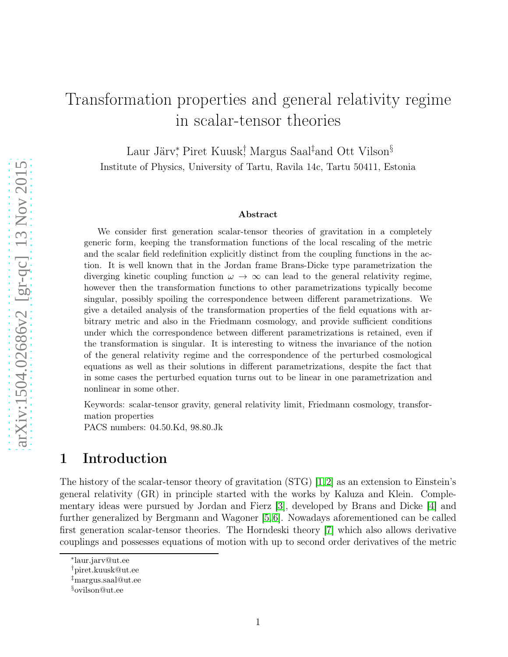# Transformation properties and general relativity regime in scalar-tensor theories

Laur Järv,<sup>\*</sup> Piret Kuusk<sup>†</sup>, Margus Saal‡and Ott Vilson<sup>§</sup> Institute of Physics, University of Tartu, Ravila 14c, Tartu 50411, Estonia

#### Abstract

We consider first generation scalar-tensor theories of gravitation in a completely generic form, keeping the transformation functions of the local rescaling of the metric and the scalar field redefinition explicitly distinct from the coupling functions in the action. It is well known that in the Jordan frame Brans-Dicke type parametrization the diverging kinetic coupling function  $\omega \to \infty$  can lead to the general relativity regime, however then the transformation functions to other parametrizations typically become singular, possibly spoiling the correspondence between different parametrizations. We give a detailed analysis of the transformation properties of the field equations with arbitrary metric and also in the Friedmann cosmology, and provide sufficient conditions under which the correspondence between different parametrizations is retained, even if the transformation is singular. It is interesting to witness the invariance of the notion of the general relativity regime and the correspondence of the perturbed cosmological equations as well as their solutions in different parametrizations, despite the fact that in some cases the perturbed equation turns out to be linear in one parametrization and nonlinear in some other.

Keywords: scalar-tensor gravity, general relativity limit, Friedmann cosmology, transformation properties

PACS numbers: 04.50.Kd, 98.80.Jk

# 1 Introduction

The history of the scalar-tensor theory of gravitation  $STG$  [\[1,](#page-29-0)[2\]](#page-29-1) as an extension to Einstein's general relativity (GR) in principle started with the works by Kaluza and Klein. Complementary ideas were pursued by Jordan and Fierz [\[3\]](#page-29-2), developed by Brans and Dicke [\[4\]](#page-29-3) and further generalized by Bergmann and Wagoner [\[5,](#page-29-4)[6\]](#page-29-5). Nowadays aforementioned can be called first generation scalar-tensor theories. The Horndeski theory [\[7\]](#page-29-6) which also allows derivative couplings and possesses equations of motion with up to second order derivatives of the metric

<sup>∗</sup> laur.jarv@ut.ee

<sup>†</sup>piret.kuusk@ut.ee

<sup>‡</sup>margus.saal@ut.ee

<sup>§</sup>ovilson@ut.ee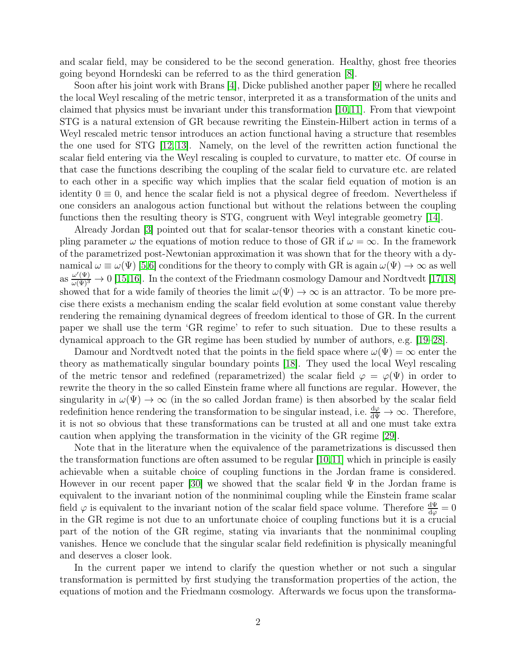and scalar field, may be considered to be the second generation. Healthy, ghost free theories going beyond Horndeski can be referred to as the third generation [\[8\]](#page-29-7).

Soon after his joint work with Brans [\[4\]](#page-29-3), Dicke published another paper [\[9\]](#page-30-0) where he recalled the local Weyl rescaling of the metric tensor, interpreted it as a transformation of the units and claimed that physics must be invariant under this transformation [\[10,](#page-30-1)[11\]](#page-30-2). From that viewpoint STG is a natural extension of GR because rewriting the Einstein-Hilbert action in terms of a Weyl rescaled metric tensor introduces an action functional having a structure that resembles the one used for STG [\[12,](#page-30-3) [13\]](#page-30-4). Namely, on the level of the rewritten action functional the scalar field entering via the Weyl rescaling is coupled to curvature, to matter etc. Of course in that case the functions describing the coupling of the scalar field to curvature etc. are related to each other in a specific way which implies that the scalar field equation of motion is an identity  $0 \equiv 0$ , and hence the scalar field is not a physical degree of freedom. Nevertheless if one considers an analogous action functional but without the relations between the coupling functions then the resulting theory is STG, congruent with Weyl integrable geometry [\[14\]](#page-30-5).

Already Jordan [\[3\]](#page-29-2) pointed out that for scalar-tensor theories with a constant kinetic coupling parameter  $\omega$  the equations of motion reduce to those of GR if  $\omega = \infty$ . In the framework of the parametrized post-Newtonian approximation it was shown that for the theory with a dynamical  $\omega \equiv \omega(\Psi)$  [\[5,](#page-29-4)[6\]](#page-29-5) conditions for the theory to comply with GR is again  $\omega(\Psi) \to \infty$  as well as  $\frac{\omega'(\Psi)}{\omega(\Psi)^3} \to 0$  [\[15,](#page-30-6)[16\]](#page-30-7). In the context of the Friedmann cosmology Damour and Nordtvedt [\[17,](#page-30-8)[18\]](#page-30-9) showed that for a wide family of theories the limit  $\omega(\Psi) \to \infty$  is an attractor. To be more precise there exists a mechanism ending the scalar field evolution at some constant value thereby rendering the remaining dynamical degrees of freedom identical to those of GR. In the current paper we shall use the term 'GR regime' to refer to such situation. Due to these results a dynamical approach to the GR regime has been studied by number of authors, e.g. [\[19](#page-30-10)[–28\]](#page-31-0).

Damour and Nordtvedt noted that the points in the field space where  $\omega(\Psi) = \infty$  enter the theory as mathematically singular boundary points [\[18\]](#page-30-9). They used the local Weyl rescaling of the metric tensor and redefined (reparametrized) the scalar field  $\varphi = \varphi(\Psi)$  in order to rewrite the theory in the so called Einstein frame where all functions are regular. However, the singularity in  $\omega(\Psi) \to \infty$  (in the so called Jordan frame) is then absorbed by the scalar field redefinition hence rendering the transformation to be singular instead, i.e.  $\frac{d\varphi}{d\Psi} \to \infty$ . Therefore, it is not so obvious that these transformations can be trusted at all and one must take extra caution when applying the transformation in the vicinity of the GR regime [\[29\]](#page-31-1).

Note that in the literature when the equivalence of the parametrizations is discussed then the transformation functions are often assumed to be regular [\[10,](#page-30-1)[11\]](#page-30-2) which in principle is easily achievable when a suitable choice of coupling functions in the Jordan frame is considered. However in our recent paper [\[30\]](#page-31-2) we showed that the scalar field  $\Psi$  in the Jordan frame is equivalent to the invariant notion of the nonminimal coupling while the Einstein frame scalar field  $\varphi$  is equivalent to the invariant notion of the scalar field space volume. Therefore  $\frac{d\Psi}{d\varphi} = 0$ in the GR regime is not due to an unfortunate choice of coupling functions but it is a crucial part of the notion of the GR regime, stating via invariants that the nonminimal coupling vanishes. Hence we conclude that the singular scalar field redefinition is physically meaningful and deserves a closer look.

In the current paper we intend to clarify the question whether or not such a singular transformation is permitted by first studying the transformation properties of the action, the equations of motion and the Friedmann cosmology. Afterwards we focus upon the transforma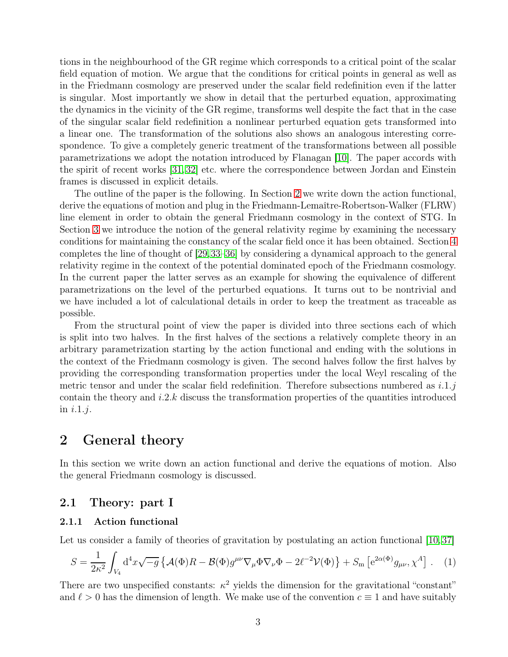tions in the neighbourhood of the GR regime which corresponds to a critical point of the scalar field equation of motion. We argue that the conditions for critical points in general as well as in the Friedmann cosmology are preserved under the scalar field redefinition even if the latter is singular. Most importantly we show in detail that the perturbed equation, approximating the dynamics in the vicinity of the GR regime, transforms well despite the fact that in the case of the singular scalar field redefinition a nonlinear perturbed equation gets transformed into a linear one. The transformation of the solutions also shows an analogous interesting correspondence. To give a completely generic treatment of the transformations between all possible parametrizations we adopt the notation introduced by Flanagan [\[10\]](#page-30-1). The paper accords with the spirit of recent works [\[31,](#page-31-3) [32\]](#page-31-4) etc. where the correspondence between Jordan and Einstein frames is discussed in explicit details.

The outline of the paper is the following. In Section [2](#page-2-0) we write down the action functional, derive the equations of motion and plug in the Friedmann-Lemaître-Robertson-Walker (FLRW) line element in order to obtain the general Friedmann cosmology in the context of STG. In Section [3](#page-10-0) we introduce the notion of the general relativity regime by examining the necessary conditions for maintaining the constancy of the scalar field once it has been obtained. Section [4](#page-20-0) completes the line of thought of [\[29,](#page-31-1)[33–](#page-31-5)[36\]](#page-32-0) by considering a dynamical approach to the general relativity regime in the context of the potential dominated epoch of the Friedmann cosmology. In the current paper the latter serves as an example for showing the equivalence of different parametrizations on the level of the perturbed equations. It turns out to be nontrivial and we have included a lot of calculational details in order to keep the treatment as traceable as possible.

From the structural point of view the paper is divided into three sections each of which is split into two halves. In the first halves of the sections a relatively complete theory in an arbitrary parametrization starting by the action functional and ending with the solutions in the context of the Friedmann cosmology is given. The second halves follow the first halves by providing the corresponding transformation properties under the local Weyl rescaling of the metric tensor and under the scalar field redefinition. Therefore subsections numbered as  $i.1.j$ contain the theory and  $i.2.k$  discuss the transformation properties of the quantities introduced in  $i.1.j.$ 

# <span id="page-2-0"></span>2 General theory

In this section we write down an action functional and derive the equations of motion. Also the general Friedmann cosmology is discussed.

# 2.1 Theory: part I

### 2.1.1 Action functional

Let us consider a family of theories of gravitation by postulating an action functional [\[10,](#page-30-1)37]

$$
S = \frac{1}{2\kappa^2} \int_{V_4} d^4x \sqrt{-g} \left\{ \mathcal{A}(\Phi)R - \mathcal{B}(\Phi)g^{\mu\nu}\nabla_{\mu}\Phi\nabla_{\nu}\Phi - 2\ell^{-2}\mathcal{V}(\Phi) \right\} + S_{\rm m} \left[ e^{2\alpha(\Phi)}g_{\mu\nu}, \chi^A \right] \,. \tag{1}
$$

There are two unspecified constants:  $\kappa^2$  yields the dimension for the gravitational "constant" and  $\ell > 0$  has the dimension of length. We make use of the convention  $c \equiv 1$  and have suitably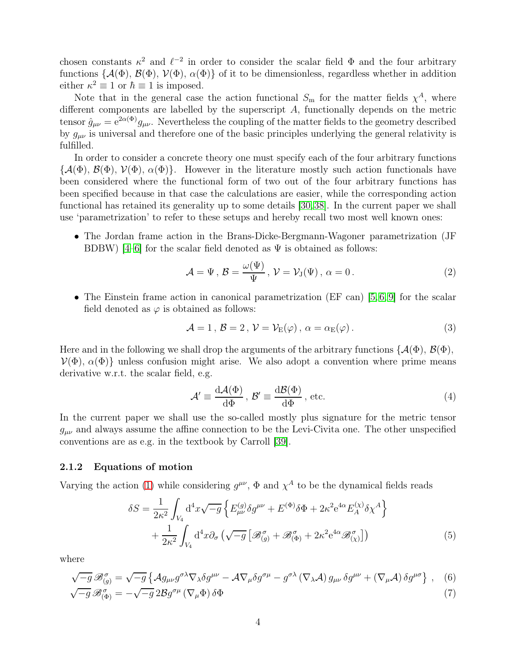chosen constants  $\kappa^2$  and  $\ell^{-2}$  in order to consider the scalar field  $\Phi$  and the four arbitrary functions { $\mathcal{A}(\Phi)$ ,  $\mathcal{B}(\Phi)$ ,  $\mathcal{V}(\Phi)$ ,  $\alpha(\Phi)$ } of it to be dimensionless, regardless whether in addition either  $\kappa^2 \equiv 1$  or  $\hbar \equiv 1$  is imposed.

Note that in the general case the action functional  $S_{\rm m}$  for the matter fields  $\chi^A$ , where different components are labelled by the superscript A, functionally depends on the metric tensor  $\hat{g}_{\mu\nu} = e^{2\alpha(\Phi)} g_{\mu\nu}$ . Nevertheless the coupling of the matter fields to the geometry described by  $g_{\mu\nu}$  is universal and therefore one of the basic principles underlying the general relativity is fulfilled.

In order to consider a concrete theory one must specify each of the four arbitrary functions  ${\{\mathcal{A}(\Phi), \mathcal{B}(\Phi), \mathcal{V}(\Phi), \alpha(\Phi)\}}$ . However in the literature mostly such action functionals have been considered where the functional form of two out of the four arbitrary functions has been specified because in that case the calculations are easier, while the corresponding action functional has retained its generality up to some details [\[30,](#page-31-2)[38\]](#page-32-2). In the current paper we shall use 'parametrization' to refer to these setups and hereby recall two most well known ones:

• The Jordan frame action in the Brans-Dicke-Bergmann-Wagoner parametrization (JF BDBW) [\[4](#page-29-3)[–6\]](#page-29-5) for the scalar field denoted as  $\Psi$  is obtained as follows:

$$
\mathcal{A} = \Psi, \mathcal{B} = \frac{\omega(\Psi)}{\Psi}, \mathcal{V} = \mathcal{V}_{\mathrm{J}}(\Psi), \alpha = 0.
$$
 (2)

• The Einstein frame action in canonical parametrization (EF can)  $[5, 6, 9]$  $[5, 6, 9]$  $[5, 6, 9]$  for the scalar field denoted as  $\varphi$  is obtained as follows:

$$
\mathcal{A} = 1, \mathcal{B} = 2, \mathcal{V} = \mathcal{V}_{E}(\varphi), \alpha = \alpha_{E}(\varphi).
$$
 (3)

Here and in the following we shall drop the arguments of the arbitrary functions  $\{\mathcal{A}(\Phi), \mathcal{B}(\Phi),\}$  $V(\Phi)$ ,  $\alpha(\Phi)$  unless confusion might arise. We also adopt a convention where prime means derivative w.r.t. the scalar field, e.g.

<span id="page-3-2"></span><span id="page-3-1"></span><span id="page-3-0"></span>
$$
\mathcal{A}' \equiv \frac{\mathrm{d}\mathcal{A}(\Phi)}{\mathrm{d}\Phi}, \ \mathcal{B}' \equiv \frac{\mathrm{d}\mathcal{B}(\Phi)}{\mathrm{d}\Phi}, \ \text{etc.}
$$
 (4)

In the current paper we shall use the so-called mostly plus signature for the metric tensor  $g_{\mu\nu}$  and always assume the affine connection to be the Levi-Civita one. The other unspecified conventions are as e.g. in the textbook by Carroll [\[39\]](#page-32-3).

#### 2.1.2 Equations of motion

Varying the action [\(1\)](#page-6-0) while considering  $g^{\mu\nu}$ ,  $\Phi$  and  $\chi^A$  to be the dynamical fields reads

$$
\delta S = \frac{1}{2\kappa^2} \int_{V_4} d^4 x \sqrt{-g} \left\{ E_{\mu\nu}^{(g)} \delta g^{\mu\nu} + E^{(\Phi)} \delta \Phi + 2\kappa^2 e^{4\alpha} E_A^{(\chi)} \delta \chi^A \right\} + \frac{1}{2\kappa^2} \int_{V_4} d^4 x \partial_\sigma \left( \sqrt{-g} \left[ \mathcal{B}_{(g)}^\sigma + \mathcal{B}_{(\Phi)}^\sigma + 2\kappa^2 e^{4\alpha} \mathcal{B}_{(\chi)}^\sigma \right] \right)
$$
(5)

where

$$
\sqrt{-g}\,\mathscr{B}_{(g)}^{\sigma}=\sqrt{-g}\left\{\mathcal{A}g_{\mu\nu}g^{\sigma\lambda}\nabla_{\lambda}\delta g^{\mu\nu}-\mathcal{A}\nabla_{\mu}\delta g^{\sigma\mu}-g^{\sigma\lambda}\left(\nabla_{\lambda}\mathcal{A}\right)g_{\mu\nu}\,\delta g^{\mu\nu}+\left(\nabla_{\mu}\mathcal{A}\right)\delta g^{\mu\sigma}\right\}\,,\quad(6)
$$

$$
\sqrt{-g}\,\mathcal{B}^{\sigma}_{(\Phi)} = -\sqrt{-g}\,2\mathcal{B}g^{\sigma\mu}\left(\nabla_{\mu}\Phi\right)\delta\Phi\tag{7}
$$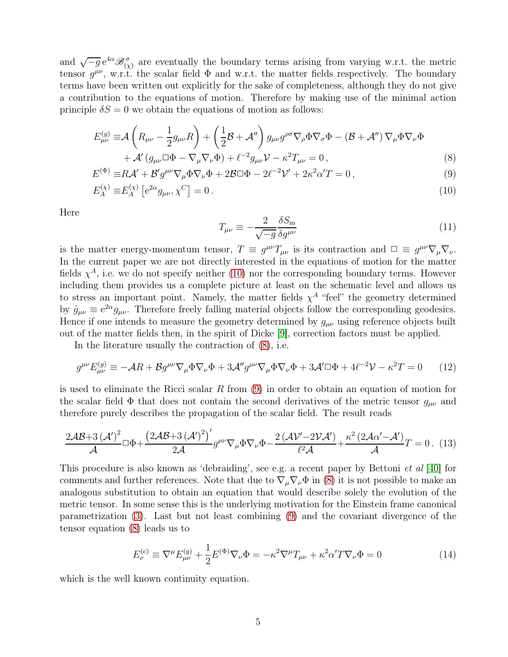and  $\sqrt{-g}e^{4\alpha} \mathcal{B}_{(\chi)}^{\sigma}$  are eventually the boundary terms arising from varying w.r.t. the metric tensor  $g^{\mu\nu}$ , w.r.t. the scalar field  $\Phi$  and w.r.t. the matter fields respectively. The boundary terms have been written out explicitly for the sake of completeness, although they do not give a contribution to the equations of motion. Therefore by making use of the minimal action principle  $\delta S = 0$  we obtain the equations of motion as follows:

$$
E_{\mu\nu}^{(g)} \equiv \mathcal{A}\left(R_{\mu\nu} - \frac{1}{2}g_{\mu\nu}R\right) + \left(\frac{1}{2}\mathcal{B} + \mathcal{A}''\right)g_{\mu\nu}g^{\rho\sigma}\nabla_{\rho}\Phi\nabla_{\sigma}\Phi - (\mathcal{B} + \mathcal{A}'')\nabla_{\mu}\Phi\nabla_{\nu}\Phi
$$

$$
+ \mathcal{A}'(g_{\mu\nu}\Box\Phi - \nabla_{\mu}\nabla_{\nu}\Phi) + \ell^{-2}g_{\mu\nu}\mathcal{V} - \kappa^{2}T_{\mu\nu} = 0,
$$
(8)

$$
E^{(\Phi)} \equiv R\mathcal{A}' + \mathcal{B}' g^{\mu\nu} \nabla_{\mu} \Phi \nabla_{\nu} \Phi + 2\mathcal{B} \Box \Phi - 2\ell^{-2} \mathcal{V}' + 2\kappa^2 \alpha' T = 0, \qquad (9)
$$

<span id="page-4-5"></span>
$$
E_A^{(\chi)} \equiv E_A^{(\chi)} \left[ e^{2\alpha} g_{\mu\nu}, \chi^C \right] = 0 \,. \tag{10}
$$

Here

<span id="page-4-6"></span><span id="page-4-3"></span><span id="page-4-2"></span><span id="page-4-1"></span><span id="page-4-0"></span>
$$
T_{\mu\nu} \equiv -\frac{2}{\sqrt{-g}} \frac{\delta S_{\rm m}}{\delta g^{\mu\nu}} \tag{11}
$$

is the matter energy-momentum tensor,  $T \equiv g^{\mu\nu} T_{\mu\nu}$  is its contraction and  $\Box \equiv g^{\mu\nu} \nabla_{\mu} \nabla_{\nu}$ . In the current paper we are not directly interested in the equations of motion for the matter fields  $\chi^A$ , i.e. we do not specify neither [\(10\)](#page-4-0) nor the corresponding boundary terms. However including them provides us a complete picture at least on the schematic level and allows us to stress an important point. Namely, the matter fields  $\chi^A$  "feel" the geometry determined by  $\hat{g}_{\mu\nu} \equiv e^{2\alpha} g_{\mu\nu}$ . Therefore freely falling material objects follow the corresponding geodesics. Hence if one intends to measure the geometry determined by  $g_{\mu\nu}$  using reference objects built out of the matter fields then, in the spirit of Dicke [\[9\]](#page-30-0), correction factors must be applied.

In the literature usually the contraction of [\(8\)](#page-4-1), i.e.

$$
g^{\mu\nu} E^{(g)}_{\mu\nu} \equiv -\mathcal{A}R + \mathcal{B}g^{\mu\nu}\nabla_{\mu}\Phi\nabla_{\nu}\Phi + 3\mathcal{A}''g^{\mu\nu}\nabla_{\mu}\Phi\nabla_{\nu}\Phi + 3\mathcal{A}'\Box\Phi + 4\ell^{-2}\mathcal{V} - \kappa^2 T = 0 \tag{12}
$$

is used to eliminate the Ricci scalar R from  $(9)$  in order to obtain an equation of motion for the scalar field  $\Phi$  that does not contain the second derivatives of the metric tensor  $g_{\mu\nu}$  and therefore purely describes the propagation of the scalar field. The result reads

$$
\frac{2\mathcal{A}\mathcal{B} + 3\left(\mathcal{A}'\right)^2}{\mathcal{A}} \Box \Phi + \frac{\left(2\mathcal{A}\mathcal{B} + 3\left(\mathcal{A}'\right)^2\right)'}{2\mathcal{A}} g^{\mu\nu} \nabla_{\mu} \Phi \nabla_{\nu} \Phi - \frac{2\left(\mathcal{A}\mathcal{V}' - 2\mathcal{V}\mathcal{A}'\right)}{\ell^2 \mathcal{A}} + \frac{\kappa^2 \left(2\mathcal{A}\alpha' - \mathcal{A}'\right)}{\mathcal{A}} T = 0. \tag{13}
$$

This procedure is also known as 'debraiding', see e.g. a recent paper by Bettoni *et al* [\[40\]](#page-32-4) for comments and further references. Note that due to  $\nabla_{\mu} \nabla_{\nu} \Phi$  in [\(8\)](#page-4-1) it is not possible to make an analogous substitution to obtain an equation that would describe solely the evolution of the metric tensor. In some sense this is the underlying motivation for the Einstein frame canonical parametrization [\(3\)](#page-6-1). Last but not least combining [\(9\)](#page-4-2) and the covariant divergence of the tensor equation [\(8\)](#page-4-1) leads us to

<span id="page-4-4"></span>
$$
E_{\nu}^{(c)} \equiv \nabla^{\mu} E_{\mu\nu}^{(g)} + \frac{1}{2} E^{(\Phi)} \nabla_{\nu} \Phi = -\kappa^2 \nabla^{\mu} T_{\mu\nu} + \kappa^2 \alpha' T \nabla_{\nu} \Phi = 0 \tag{14}
$$

which is the well known continuity equation.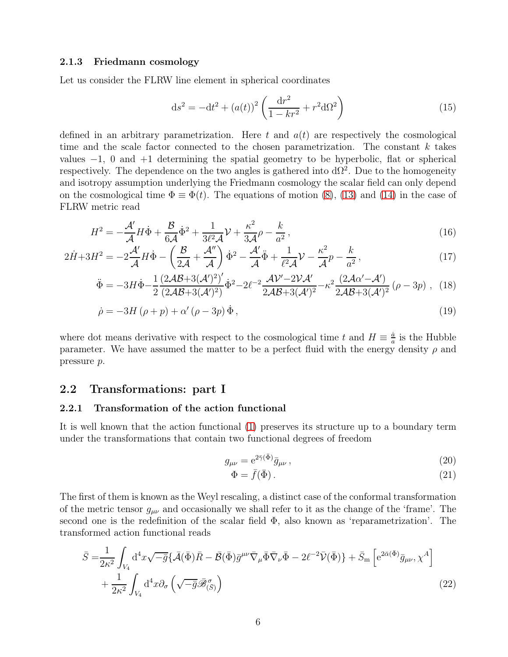#### <span id="page-5-5"></span>2.1.3 Friedmann cosmology

Let us consider the FLRW line element in spherical coordinates

<span id="page-5-4"></span><span id="page-5-2"></span>
$$
ds^{2} = -dt^{2} + (a(t))^{2} \left(\frac{dr^{2}}{1 - kr^{2}} + r^{2} d\Omega^{2}\right)
$$
 (15)

defined in an arbitrary parametrization. Here t and  $a(t)$  are respectively the cosmological time and the scale factor connected to the chosen parametrization. The constant  $k$  takes values  $-1$ , 0 and  $+1$  determining the spatial geometry to be hyperbolic, flat or spherical respectively. The dependence on the two angles is gathered into  $d\Omega^2$ . Due to the homogeneity and isotropy assumption underlying the Friedmann cosmology the scalar field can only depend on the cosmological time  $\Phi = \Phi(t)$ . The equations of motion [\(8\)](#page-4-1), [\(13\)](#page-4-3) and [\(14\)](#page-4-4) in the case of FLRW metric read

$$
H^2 = -\frac{\mathcal{A}'}{\mathcal{A}}H\dot{\Phi} + \frac{\mathcal{B}}{6\mathcal{A}}\dot{\Phi}^2 + \frac{1}{3\ell^2\mathcal{A}}\mathcal{V} + \frac{\kappa^2}{3\mathcal{A}}\rho - \frac{k}{a^2},\tag{16}
$$

$$
2\dot{H} + 3H^2 = -2\frac{\mathcal{A}'}{\mathcal{A}}H\dot{\Phi} - \left(\frac{\mathcal{B}}{2\mathcal{A}} + \frac{\mathcal{A}''}{\mathcal{A}}\right)\dot{\Phi}^2 - \frac{\mathcal{A}'}{\mathcal{A}}\ddot{\Phi} + \frac{1}{\ell^2\mathcal{A}}\mathcal{V} - \frac{\kappa^2}{\mathcal{A}}p - \frac{k}{a^2},\tag{17}
$$

$$
\ddot{\Phi} = -3H\dot{\Phi} - \frac{1}{2} \frac{(2\mathcal{A}\mathcal{B} + 3(\mathcal{A}')^2)'}{(2\mathcal{A}\mathcal{B} + 3(\mathcal{A}')^2)} \dot{\Phi}^2 - 2\ell^{-2} \frac{\mathcal{A}\mathcal{V}' - 2\mathcal{V}\mathcal{A}'}{2\mathcal{A}\mathcal{B} + 3(\mathcal{A}')^2} - \kappa^2 \frac{(2\mathcal{A}\alpha' - \mathcal{A}')}{2\mathcal{A}\mathcal{B} + 3(\mathcal{A}')^2} (\rho - 3p) , \quad (18)
$$

$$
\dot{\rho} = -3H(\rho + p) + \alpha'(\rho - 3p)\dot{\Phi},\tag{19}
$$

where dot means derivative with respect to the cosmological time t and  $H \equiv \frac{\dot{a}}{a}$  $\frac{\dot{a}}{a}$  is the Hubble parameter. We have assumed the matter to be a perfect fluid with the energy density  $\rho$  and pressure p.

### 2.2 Transformations: part I

### 2.2.1 Transformation of the action functional

It is well known that the action functional [\(1\)](#page-6-0) preserves its structure up to a boundary term under the transformations that contain two functional degrees of freedom

<span id="page-5-6"></span><span id="page-5-3"></span>
$$
g_{\mu\nu} = e^{2\bar{\gamma}(\bar{\Phi})}\bar{g}_{\mu\nu},\qquad(20)
$$

<span id="page-5-1"></span><span id="page-5-0"></span>
$$
\Phi = \bar{f}(\bar{\Phi}).\tag{21}
$$

The first of them is known as the Weyl rescaling, a distinct case of the conformal transformation of the metric tensor  $g_{\mu\nu}$  and occasionally we shall refer to it as the change of the 'frame'. The second one is the redefinition of the scalar field  $\Phi$ , also known as 'reparametrization'. The transformed action functional reads

$$
\bar{S} = \frac{1}{2\kappa^2} \int_{V_4} d^4x \sqrt{-\bar{g}} \{ \bar{\mathcal{A}}(\bar{\Phi}) \bar{R} - \bar{\mathcal{B}}(\bar{\Phi}) \bar{g}^{\mu\nu} \bar{\nabla}_{\mu} \bar{\Phi} \bar{\nabla}_{\nu} \bar{\Phi} - 2\ell^{-2} \bar{\mathcal{V}}(\bar{\Phi}) \} + \bar{S}_{\rm m} \left[ e^{2\bar{\alpha}(\bar{\Phi})} \bar{g}_{\mu\nu}, \chi^A \right] \n+ \frac{1}{2\kappa^2} \int_{V_4} d^4x \partial_{\sigma} \left( \sqrt{-\bar{g}} \bar{\mathcal{B}}^{\sigma}_{(\bar{S})} \right)
$$
\n(22)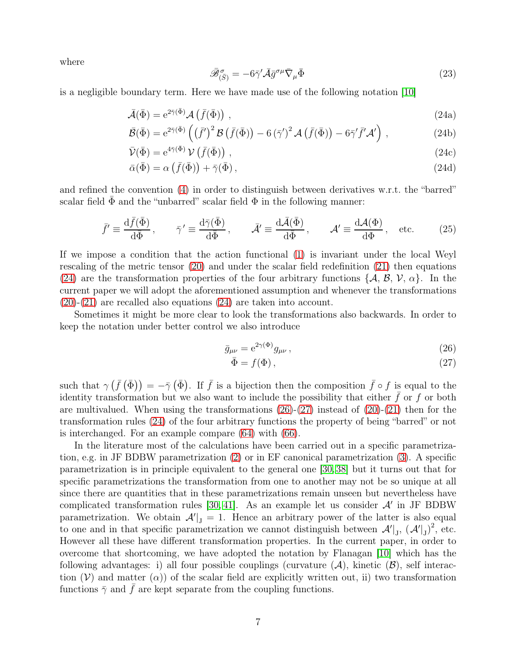<span id="page-6-7"></span>where

<span id="page-6-6"></span><span id="page-6-3"></span><span id="page-6-2"></span><span id="page-6-1"></span><span id="page-6-0"></span>
$$
\bar{\mathscr{B}}_{(\bar{S})}^{\sigma} = -6\bar{\gamma}'\bar{\mathcal{A}}\bar{g}^{\sigma\mu}\bar{\nabla}_{\mu}\bar{\Phi}
$$
\n(23)

is a negligible boundary term. Here we have made use of the following notation [\[10\]](#page-30-1)

$$
\bar{\mathcal{A}}(\bar{\Phi}) = e^{2\bar{\gamma}(\bar{\Phi})} \mathcal{A}\left(\bar{f}(\bar{\Phi})\right) , \qquad (24a)
$$

$$
\bar{\mathcal{B}}(\bar{\Phi}) = e^{2\bar{\gamma}(\bar{\Phi})} \left( \left( \bar{f}' \right)^2 \mathcal{B} \left( \bar{f}(\bar{\Phi}) \right) - 6 \left( \bar{\gamma}' \right)^2 \mathcal{A} \left( \bar{f}(\bar{\Phi}) \right) - 6 \bar{\gamma}' \bar{f}' \mathcal{A}' \right) , \tag{24b}
$$

$$
\bar{\mathcal{V}}(\bar{\Phi}) = e^{4\bar{\gamma}(\bar{\Phi})} \mathcal{V}\left(\bar{f}(\bar{\Phi})\right) , \qquad (24c)
$$

$$
\bar{\alpha}(\bar{\Phi}) = \alpha \left( \bar{f}(\bar{\Phi}) \right) + \bar{\gamma}(\bar{\Phi}), \tag{24d}
$$

and refined the convention [\(4\)](#page-6-2) in order to distinguish between derivatives w.r.t. the "barred" scalar field  $\Phi$  and the "unbarred" scalar field  $\Phi$  in the following manner:

$$
\bar{f}' \equiv \frac{\mathrm{d}\bar{f}(\bar{\Phi})}{\mathrm{d}\bar{\Phi}}, \qquad \bar{\gamma}' \equiv \frac{\mathrm{d}\bar{\gamma}(\bar{\Phi})}{\mathrm{d}\bar{\Phi}}, \qquad \bar{\mathcal{A}}' \equiv \frac{\mathrm{d}\bar{\mathcal{A}}(\bar{\Phi})}{\mathrm{d}\bar{\Phi}}, \qquad \mathcal{A}' \equiv \frac{\mathrm{d}\mathcal{A}(\Phi)}{\mathrm{d}\Phi}, \qquad \text{etc.}
$$
 (25)

If we impose a condition that the action functional [\(1\)](#page-6-0) is invariant under the local Weyl rescaling of the metric tensor [\(20\)](#page-5-0) and under the scalar field redefinition [\(21\)](#page-5-1) then equations [\(24\)](#page-6-3) are the transformation properties of the four arbitrary functions  $\{\mathcal{A}, \mathcal{B}, \mathcal{V}, \alpha\}$ . In the current paper we will adopt the aforementioned assumption and whenever the transformations [\(20\)](#page-5-0)-[\(21\)](#page-5-1) are recalled also equations [\(24\)](#page-6-3) are taken into account.

Sometimes it might be more clear to look the transformations also backwards. In order to keep the notation under better control we also introduce

$$
\bar{g}_{\mu\nu} = e^{2\gamma(\Phi)} g_{\mu\nu},\qquad(26)
$$

<span id="page-6-5"></span><span id="page-6-4"></span>
$$
\bar{\Phi} = f(\Phi),\tag{27}
$$

such that  $\gamma(\bar{f}(\bar{\Phi})) = -\bar{\gamma}(\bar{\Phi})$ . If  $\bar{f}$  is a bijection then the composition  $\bar{f} \circ f$  is equal to the identity transformation but we also want to include the possibility that either  $f$  or  $f$  or both are multivalued. When using the transformations [\(26\)](#page-6-4)-[\(27\)](#page-6-5) instead of [\(20\)](#page-5-0)-[\(21\)](#page-5-1) then for the transformation rules [\(24\)](#page-6-3) of the four arbitrary functions the property of being "barred" or not is interchanged. For an example compare [\(64\)](#page-16-0) with [\(66\)](#page-16-1).

In the literature most of the calculations have been carried out in a specific parametrization, e.g. in JF BDBW parametrization [\(2\)](#page-6-6) or in EF canonical parametrization [\(3\)](#page-6-1). A specific parametrization is in principle equivalent to the general one [\[30,](#page-31-2) [38\]](#page-32-2) but it turns out that for specific parametrizations the transformation from one to another may not be so unique at all since there are quantities that in these parametrizations remain unseen but nevertheless have complicated transformation rules  $[30, 41]$  $[30, 41]$ . As an example let us consider  $\mathcal{A}'$  in JF BDBW parametrization. We obtain  $\mathcal{A}'|_{J} = 1$ . Hence an arbitrary power of the latter is also equal to one and in that specific parametrization we cannot distinguish between  $\mathcal{A}'|_{J}$ ,  $(\mathcal{A}'|_{J})^2$ , etc. However all these have different transformation properties. In the current paper, in order to overcome that shortcoming, we have adopted the notation by Flanagan [\[10\]](#page-30-1) which has the following advantages: i) all four possible couplings (curvature  $(A)$ , kinetic  $(B)$ , self interaction  $(V)$  and matter  $(\alpha)$  of the scalar field are explicitly written out, ii) two transformation functions  $\bar{\gamma}$  and  $\bar{f}$  are kept separate from the coupling functions.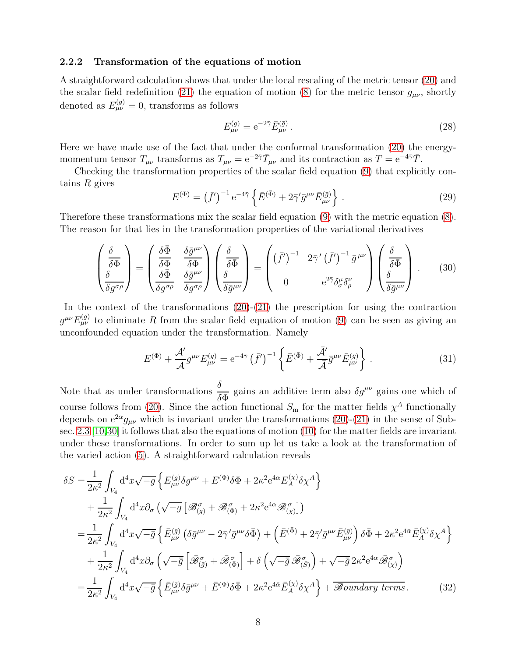#### 2.2.2 Transformation of the equations of motion

A straightforward calculation shows that under the local rescaling of the metric tensor [\(20\)](#page-5-0) and the scalar field redefinition [\(21\)](#page-5-1) the equation of motion [\(8\)](#page-4-1) for the metric tensor  $g_{\mu\nu}$ , shortly denoted as  $E_{\mu\nu}^{(g)} = 0$ , transforms as follows

<span id="page-7-3"></span><span id="page-7-0"></span>
$$
E_{\mu\nu}^{(g)} = e^{-2\bar{\gamma}} \bar{E}_{\mu\nu}^{(\bar{g})} \,. \tag{28}
$$

Here we have made use of the fact that under the conformal transformation [\(20\)](#page-5-0) the energymomentum tensor  $T_{\mu\nu}$  transforms as  $T_{\mu\nu} = e^{-2\bar{\gamma}} \bar{T}_{\mu\nu}$  and its contraction as  $T = e^{-4\bar{\gamma}} \bar{T}$ .

Checking the transformation properties of the scalar field equation [\(9\)](#page-4-2) that explicitly contains  $R$  gives

<span id="page-7-1"></span>
$$
E^{(\Phi)} = (\bar{f}')^{-1} e^{-4\bar{\gamma}} \left\{ \bar{E}^{(\bar{\Phi})} + 2\bar{\gamma}' \bar{g}^{\mu\nu} \bar{E}^{(\bar{g})}_{\mu\nu} \right\}.
$$
 (29)

Therefore these transformations mix the scalar field equation [\(9\)](#page-4-2) with the metric equation [\(8\)](#page-4-1). The reason for that lies in the transformation properties of the variational derivatives

$$
\begin{pmatrix}\n\frac{\delta}{\delta\Phi} \\
\frac{\delta}{\delta g^{\sigma\rho}}\n\end{pmatrix} = \begin{pmatrix}\n\frac{\delta\bar{\Phi}}{\delta\Phi} & \frac{\delta\bar{g}^{\mu\nu}}{\delta\Phi} \\
\frac{\delta\bar{\Phi}}{\delta g^{\sigma\rho}} & \frac{\delta\bar{g}^{\mu\nu}}{\delta g^{\sigma\rho}}\n\end{pmatrix}\n\begin{pmatrix}\n\frac{\delta}{\delta\bar{\Phi}} \\
\frac{\delta}{\delta\bar{g}^{\mu\nu}}\n\end{pmatrix} = \begin{pmatrix}\n(\bar{f}')^{-1} & 2\bar{\gamma}'(\bar{f}')^{-1}\bar{g}^{\mu\nu} \\
0 & e^{2\bar{\gamma}}\delta^{\mu}_{\sigma}\delta^{\nu}_{\rho}\n\end{pmatrix}\n\begin{pmatrix}\n\frac{\delta}{\delta\bar{\Phi}} \\
\frac{\delta}{\delta\bar{g}^{\mu\nu}}\n\end{pmatrix}.
$$
\n(30)

In the context of the transformations  $(20)-(21)$  $(20)-(21)$  the prescription for using the contraction  $g^{\mu\nu}E^{(g)}_{\mu\nu}$  to eliminate R from the scalar field equation of motion [\(9\)](#page-4-2) can be seen as giving an unconfounded equation under the transformation. Namely

<span id="page-7-2"></span>
$$
E^{(\Phi)} + \frac{\mathcal{A}'}{\mathcal{A}} g^{\mu\nu} E^{(g)}_{\mu\nu} = e^{-4\bar{\gamma}} (\bar{f}')^{-1} \left\{ \bar{E}^{(\bar{\Phi})} + \frac{\bar{\mathcal{A}}'}{\bar{\mathcal{A}}} \bar{g}^{\mu\nu} \bar{E}^{(\bar{g})}_{\mu\nu} \right\}.
$$
 (31)

Note that as under transformations  $\frac{\delta}{\epsilon}$  $\delta \Phi$ gains an additive term also  $\delta g^{\mu\nu}$  gains one which of course follows from [\(20\)](#page-5-0). Since the action functional  $S<sub>m</sub>$  for the matter fields  $\chi<sup>A</sup>$  functionally depends on  $e^{2\alpha}g_{\mu\nu}$  which is invariant under the transformations [\(20\)](#page-5-0)-[\(21\)](#page-5-1) in the sense of Subsec. [2.3](#page-9-0) [\[10,](#page-30-1)[30\]](#page-31-2) it follows that also the equations of motion [\(10\)](#page-4-0) for the matter fields are invariant under these transformations. In order to sum up let us take a look at the transformation of the varied action [\(5\)](#page-3-0). A straightforward calculation reveals

δS = 1 2κ 2 Z V4 d 4x √ −g n E (g) µν δgµν + E (Φ)δΦ + 2κ 2 e <sup>4</sup><sup>α</sup>E (χ) A δχ<sup>A</sup> o + 1 2κ 2 Z V4 d <sup>4</sup>x∂<sup>σ</sup> √ −g -B <sup>σ</sup> (g) + B <sup>σ</sup> (Φ) + 2κ 2 e <sup>4</sup><sup>α</sup>B <sup>σ</sup> (χ) = 1 2κ 2 Z V4 d 4x √ −g¯ n E¯(¯g) µν δg¯ µν <sup>−</sup> 2¯<sup>γ</sup> ′ g¯ µνδΦ¯ + E¯(Φ) ¯ + 2¯γ ′ g¯ µνE¯(¯g) µν δΦ + 2 ¯ κ 2 e 4¯<sup>α</sup>E¯ (χ) A δχ<sup>A</sup> o + 1 2κ<sup>2</sup> Z V4 d <sup>4</sup>x∂<sup>σ</sup> √ −g¯ h B¯ <sup>σ</sup> (¯g) <sup>+</sup> <sup>B</sup>¯ <sup>σ</sup> (Φ) ¯ i + δ √ <sup>−</sup>g¯ <sup>B</sup>¯ <sup>σ</sup> (S¯) + √ −g¯ 2κ 2 e 4¯<sup>α</sup>B¯ <sup>σ</sup> (χ) = 1 2κ<sup>2</sup> Z V4 d 4x √ −g¯ n E¯(¯g) µν δg¯ µν + E¯(Φ) ¯ δΦ + 2 ¯ κ 2 e 4¯<sup>α</sup>E¯ (χ) A δχ<sup>A</sup> o + B*oundary terms* . (32)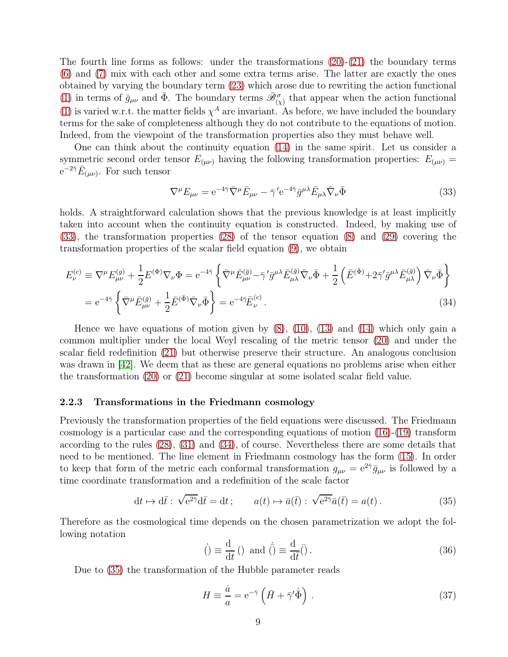The fourth line forms as follows: under the transformations  $(20)-(21)$  $(20)-(21)$  $(20)-(21)$  the boundary terms [\(6\)](#page-3-1) and [\(7\)](#page-3-2) mix with each other and some extra terms arise. The latter are exactly the ones obtained by varying the boundary term [\(23\)](#page-6-7) which arose due to rewriting the action functional [\(1\)](#page-6-0) in terms of  $\bar{g}_{\mu\nu}$  and  $\bar{\Phi}$ . The boundary terms  $\bar{\mathscr{B}}_{(\chi)}^{\sigma}$  that appear when the action functional [\(1\)](#page-6-0) is varied w.r.t. the matter fields  $\chi^A$  are invariant. As before, we have included the boundary terms for the sake of completeness although they do not contribute to the equations of motion. Indeed, from the viewpoint of the transformation properties also they must behave well.

One can think about the continuity equation [\(14\)](#page-4-4) in the same spirit. Let us consider a symmetric second order tensor  $E_{(\mu\nu)}$  having the following transformation properties:  $E_{(\mu\nu)}$  =  $e^{-2\bar{\gamma}}E_{(\mu\nu)}$ . For such tensor

<span id="page-8-1"></span><span id="page-8-0"></span>
$$
\nabla^{\mu} E_{\mu\nu} = e^{-4\bar{\gamma}} \bar{\nabla}^{\mu} \bar{E}_{\mu\nu} - \bar{\gamma}^{\prime} e^{-4\bar{\gamma}} \bar{g}^{\mu\lambda} \bar{E}_{\mu\lambda} \bar{\nabla}_{\nu} \bar{\Phi}
$$
(33)

holds. A straightforward calculation shows that the previous knowledge is at least implicitly taken into account when the continuity equation is constructed. Indeed, by making use of [\(33\)](#page-8-0), the transformation properties [\(28\)](#page-7-0) of the tensor equation [\(8\)](#page-4-1) and [\(29\)](#page-7-1) covering the transformation properties of the scalar field equation [\(9\)](#page-4-2), we obtain

$$
E_{\nu}^{(c)} \equiv \nabla^{\mu} E_{\mu\nu}^{(g)} + \frac{1}{2} E^{(\Phi)} \nabla_{\nu} \Phi = e^{-4\bar{\gamma}} \left\{ \bar{\nabla}^{\mu} \bar{E}_{\mu\nu}^{(\bar{g})} - \bar{\gamma}^{\prime} \bar{g}^{\mu\lambda} \bar{E}_{\mu\lambda}^{(\bar{g})} \bar{\nabla}_{\nu} \bar{\Phi} + \frac{1}{2} \left( \bar{E}^{(\bar{\Phi})} + 2\bar{\gamma}^{\prime} \bar{g}^{\mu\lambda} \bar{E}_{\mu\lambda}^{(\bar{g})} \right) \bar{\nabla}_{\nu} \bar{\Phi} \right\}
$$
  

$$
= e^{-4\bar{\gamma}} \left\{ \bar{\nabla}^{\mu} \bar{E}_{\mu\nu}^{(\bar{g})} + \frac{1}{2} \bar{E}^{(\bar{\Phi})} \bar{\nabla}_{\nu} \bar{\Phi} \right\} = e^{-4\bar{\gamma}} \bar{E}_{\nu}^{(c)} . \tag{34}
$$

Hence we have equations of motion given by  $(8)$ ,  $(10)$ ,  $(13)$  and  $(14)$  which only gain a common multiplier under the local Weyl rescaling of the metric tensor [\(20\)](#page-5-0) and under the scalar field redefinition [\(21\)](#page-5-1) but otherwise preserve their structure. An analogous conclusion was drawn in [\[42\]](#page-32-6). We deem that as these are general equations no problems arise when either the transformation [\(20\)](#page-5-0) or [\(21\)](#page-5-1) become singular at some isolated scalar field value.

#### 2.2.3 Transformations in the Friedmann cosmology

Previously the transformation properties of the field equations were discussed. The Friedmann cosmology is a particular case and the corresponding equations of motion [\(16\)](#page-5-2)-[\(19\)](#page-5-3) transform according to the rules [\(28\)](#page-7-0), [\(31\)](#page-7-2) and [\(34\)](#page-8-1), of course. Nevertheless there are some details that need to be mentioned. The line element in Friedmann cosmology has the form [\(15\)](#page-5-4). In order to keep that form of the metric each conformal transformation  $g_{\mu\nu} = e^{2\tilde{\gamma}} \bar{g}_{\mu\nu}$  is followed by a time coordinate transformation and a redefinition of the scale factor

$$
dt \mapsto d\bar{t} : \sqrt{e^{2\bar{\gamma}}} d\bar{t} = dt ; \qquad a(t) \mapsto \bar{a}(\bar{t}) : \sqrt{e^{2\bar{\gamma}}} \bar{a}(\bar{t}) = a(t).
$$
 (35)

Therefore as the cosmological time depends on the chosen parametrization we adopt the following notation

<span id="page-8-2"></span>
$$
\dot{( ) } \equiv \frac{\mathrm{d}}{\mathrm{d}t} \left( \right) \text{ and } \dot{\bar{ ( ) }} \equiv \frac{\mathrm{d}}{\mathrm{d}\bar{t}} \bar{ ( )} \,. \tag{36}
$$

Due to [\(35\)](#page-8-2) the transformation of the Hubble parameter reads

<span id="page-8-3"></span>
$$
H \equiv \frac{\dot{a}}{a} = e^{-\bar{\gamma}} \left( \bar{H} + \bar{\gamma}' \dot{\bar{\Phi}} \right) . \tag{37}
$$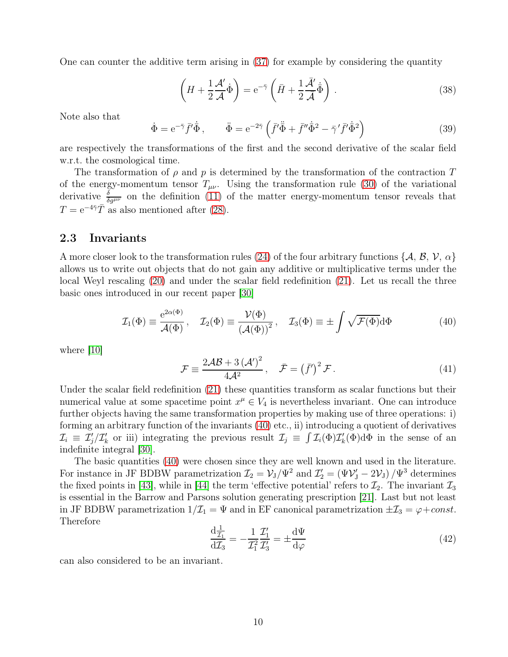One can counter the additive term arising in [\(37\)](#page-8-3) for example by considering the quantity

$$
\left(H + \frac{1}{2}\frac{\mathcal{A}'}{\mathcal{A}}\dot{\Phi}\right) = e^{-\tilde{\gamma}}\left(\bar{H} + \frac{1}{2}\frac{\bar{\mathcal{A}}'}{\bar{\mathcal{A}}}\dot{\bar{\Phi}}\right).
$$
\n(38)

Note also that

<span id="page-9-3"></span>
$$
\dot{\Phi} = e^{-\bar{\gamma}} \bar{f}' \dot{\bar{\Phi}}, \qquad \ddot{\Phi} = e^{-2\bar{\gamma}} \left( \bar{f}' \ddot{\bar{\Phi}} + \bar{f}'' \dot{\bar{\Phi}}^2 - \bar{\gamma}' \bar{f}' \dot{\bar{\Phi}}^2 \right)
$$
(39)

are respectively the transformations of the first and the second derivative of the scalar field w.r.t. the cosmological time.

The transformation of  $\rho$  and  $p$  is determined by the transformation of the contraction T of the energy-momentum tensor  $T_{\mu\nu}$ . Using the transformation rule [\(30\)](#page-7-3) of the variational derivative  $\frac{\delta}{\delta g^{\mu\nu}}$  on the definition [\(11\)](#page-4-5) of the matter energy-momentum tensor reveals that  $T = e^{-4\bar{\gamma}} \bar{T}$  as also mentioned after [\(28\)](#page-7-0).

### <span id="page-9-0"></span>2.3 Invariants

A more closer look to the transformation rules [\(24\)](#page-6-3) of the four arbitrary functions { $A, B, V, \alpha$ } allows us to write out objects that do not gain any additive or multiplicative terms under the local Weyl rescaling [\(20\)](#page-5-0) and under the scalar field redefinition [\(21\)](#page-5-1). Let us recall the three basic ones introduced in our recent paper [\[30\]](#page-31-2)

<span id="page-9-2"></span>
$$
\mathcal{I}_1(\Phi) \equiv \frac{e^{2\alpha(\Phi)}}{\mathcal{A}(\Phi)}, \quad \mathcal{I}_2(\Phi) \equiv \frac{\mathcal{V}(\Phi)}{(\mathcal{A}(\Phi))^2}, \quad \mathcal{I}_3(\Phi) \equiv \pm \int \sqrt{\mathcal{F}(\Phi)} d\Phi \tag{40}
$$

where [\[10\]](#page-30-1)

<span id="page-9-1"></span>
$$
\mathcal{F} \equiv \frac{2\mathcal{A}\mathcal{B} + 3\left(\mathcal{A}'\right)^2}{4\mathcal{A}^2}, \quad \bar{\mathcal{F}} = \left(\bar{f}'\right)^2 \mathcal{F} \,. \tag{41}
$$

Under the scalar field redefinition [\(21\)](#page-5-1) these quantities transform as scalar functions but their numerical value at some spacetime point  $x^{\mu} \in V_4$  is nevertheless invariant. One can introduce further objects having the same transformation properties by making use of three operations: i) forming an arbitrary function of the invariants [\(40\)](#page-9-1) etc., ii) introducing a quotient of derivatives  $\mathcal{I}_i \equiv \mathcal{I}'_j / \mathcal{I}'_k$  $\mathcal{I}_k$  or iii) integrating the previous result  $\mathcal{I}_j \equiv \int \mathcal{I}_i(\Phi) \mathcal{I}'_k$  $k'(\Phi) d\Phi$  in the sense of an indefinite integral [\[30\]](#page-31-2).

The basic quantities [\(40\)](#page-9-1) were chosen since they are well known and used in the literature. For instance in JF BDBW parametrization  $\mathcal{I}_2 = \mathcal{V}_J/\Psi^2$  and  $\mathcal{I}'_2 = (\Psi \mathcal{V}'_J - 2\mathcal{V}_J)/\Psi^3$  determines the fixed points in [\[43\]](#page-32-7), while in [\[44\]](#page-32-8) the term 'effective potential' refers to  $\mathcal{I}_2$ . The invariant  $\mathcal{I}_3$ is essential in the Barrow and Parsons solution generating prescription [\[21\]](#page-31-6). Last but not least in JF BDBW parametrization  $1/\mathcal{I}_1 = \Psi$  and in EF canonical parametrization  $\pm \mathcal{I}_3 = \varphi + const.$ Therefore

$$
\frac{\mathrm{d}\frac{1}{\mathcal{I}_1}}{\mathrm{d}\mathcal{I}_3} = -\frac{1}{\mathcal{I}_1^2} \frac{\mathcal{I}_1'}{\mathcal{I}_3'} = \pm \frac{\mathrm{d}\Psi}{\mathrm{d}\varphi} \tag{42}
$$

can also considered to be an invariant.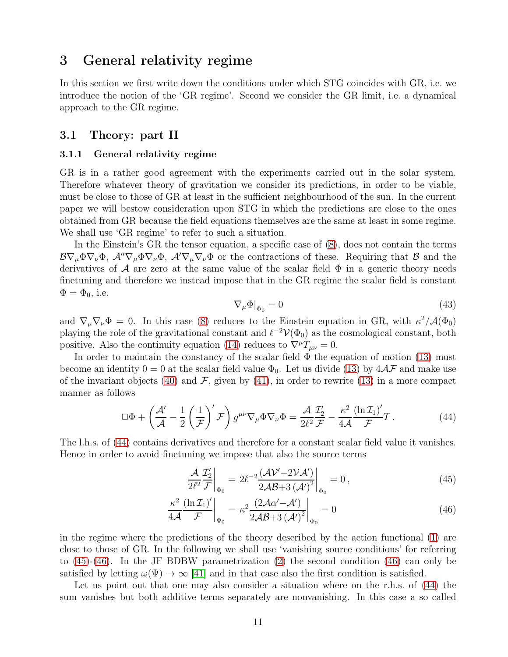# <span id="page-10-0"></span>3 General relativity regime

In this section we first write down the conditions under which STG coincides with GR, i.e. we introduce the notion of the 'GR regime'. Second we consider the GR limit, i.e. a dynamical approach to the GR regime.

### <span id="page-10-4"></span>3.1 Theory: part II

#### 3.1.1 General relativity regime

GR is in a rather good agreement with the experiments carried out in the solar system. Therefore whatever theory of gravitation we consider its predictions, in order to be viable, must be close to those of GR at least in the sufficient neighbourhood of the sun. In the current paper we will bestow consideration upon STG in which the predictions are close to the ones obtained from GR because the field equations themselves are the same at least in some regime. We shall use 'GR regime' to refer to such a situation.

In the Einstein's GR the tensor equation, a specific case of [\(8\)](#page-4-1), does not contain the terms  $B\nabla_{\mu}\Phi\nabla_{\nu}\Phi$ ,  $\mathcal{A}''\nabla_{\mu}\Phi\nabla_{\nu}\Phi$ ,  $\mathcal{A}'\nabla_{\mu}\nabla_{\nu}\Phi$  or the contractions of these. Requiring that  $\mathcal B$  and the derivatives of A are zero at the same value of the scalar field  $\Phi$  in a generic theory needs finetuning and therefore we instead impose that in the GR regime the scalar field is constant  $\Phi = \Phi_0$ , i.e.

$$
\nabla_{\mu}\Phi|_{\Phi_0} = 0\tag{43}
$$

<span id="page-10-5"></span>and  $\nabla_{\mu} \nabla_{\nu} \Phi = 0$ . In this case [\(8\)](#page-4-1) reduces to the Einstein equation in GR, with  $\kappa^2 / A(\Phi_0)$ playing the role of the gravitational constant and  $\ell^{-2} \mathcal{V}(\Phi_0)$  as the cosmological constant, both positive. Also the continuity equation [\(14\)](#page-4-4) reduces to  $\nabla^{\mu}T_{\mu\nu}=0$ .

In order to maintain the constancy of the scalar field  $\Phi$  the equation of motion [\(13\)](#page-4-3) must become an identity  $0 = 0$  at the scalar field value  $\Phi_0$ . Let us divide [\(13\)](#page-4-3) by  $4\mathcal{A}F$  and make use of the invariant objects [\(40\)](#page-9-1) and  $\mathcal{F}$ , given by [\(41\)](#page-9-2), in order to rewrite [\(13\)](#page-4-3) in a more compact manner as follows

<span id="page-10-1"></span>
$$
\Box \Phi + \left(\frac{\mathcal{A}'}{\mathcal{A}} - \frac{1}{2} \left(\frac{1}{\mathcal{F}}\right)' \mathcal{F}\right) g^{\mu\nu} \nabla_{\mu} \Phi \nabla_{\nu} \Phi = \frac{\mathcal{A}}{2\ell^2} \frac{\mathcal{I}_2'}{\mathcal{F}} - \frac{\kappa^2}{4\mathcal{A}} \frac{\left(\ln \mathcal{I}_1\right)'}{\mathcal{F}} T \,. \tag{44}
$$

The l.h.s. of [\(44\)](#page-10-1) contains derivatives and therefore for a constant scalar field value it vanishes. Hence in order to avoid finetuning we impose that also the source terms

<span id="page-10-3"></span><span id="page-10-2"></span>
$$
\frac{\mathcal{A}}{2\ell^2} \frac{\mathcal{I}_2'}{\mathcal{F}}\bigg|_{\Phi_0} = 2\ell^{-2} \frac{(\mathcal{A}\mathcal{V}' - 2\mathcal{V}\mathcal{A}')}{2\mathcal{A}\mathcal{B} + 3(\mathcal{A}')^2}\bigg|_{\Phi_0} = 0, \tag{45}
$$

$$
\frac{\kappa^2}{4\mathcal{A}} \frac{\left(\ln \mathcal{I}_1\right)'}{\mathcal{F}}\bigg|_{\Phi_0} = \kappa^2 \frac{\left(2\mathcal{A}\alpha' - \mathcal{A}'\right)}{2\mathcal{A}\mathcal{B} + 3\left(\mathcal{A}'\right)^2}\bigg|_{\Phi_0} = 0\tag{46}
$$

in the regime where the predictions of the theory described by the action functional [\(1\)](#page-6-0) are close to those of GR. In the following we shall use 'vanishing source conditions' for referring to [\(45\)](#page-10-2)-[\(46\)](#page-10-3). In the JF BDBW parametrization [\(2\)](#page-6-6) the second condition [\(46\)](#page-10-3) can only be satisfied by letting  $\omega(\Psi) \to \infty$  [\[41\]](#page-32-5) and in that case also the first condition is satisfied.

Let us point out that one may also consider a situation where on the r.h.s. of [\(44\)](#page-10-1) the sum vanishes but both additive terms separately are nonvanishing. In this case a so called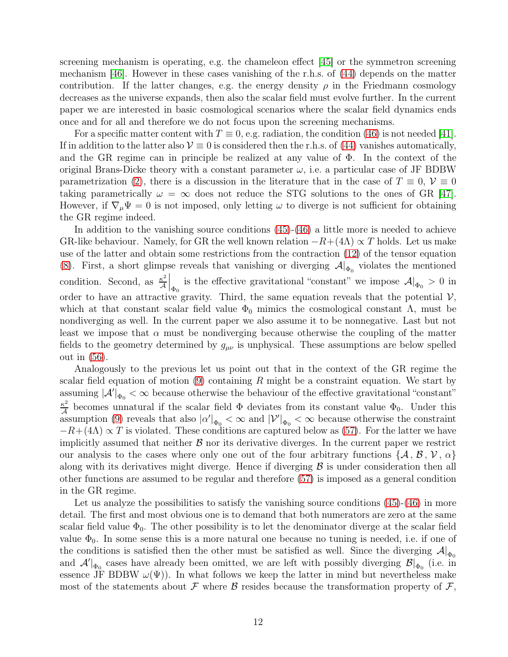screening mechanism is operating, e.g. the chameleon effect [\[45\]](#page-32-9) or the symmetron screening mechanism [\[46\]](#page-32-10). However in these cases vanishing of the r.h.s. of [\(44\)](#page-10-1) depends on the matter contribution. If the latter changes, e.g. the energy density  $\rho$  in the Friedmann cosmology decreases as the universe expands, then also the scalar field must evolve further. In the current paper we are interested in basic cosmological scenarios where the scalar field dynamics ends once and for all and therefore we do not focus upon the screening mechanisms.

For a specific matter content with  $T \equiv 0$ , e.g. radiation, the condition [\(46\)](#page-10-3) is not needed [\[41\]](#page-32-5). If in addition to the latter also  $V \equiv 0$  is considered then the r.h.s. of [\(44\)](#page-10-1) vanishes automatically, and the GR regime can in principle be realized at any value of  $\Phi$ . In the context of the original Brans-Dicke theory with a constant parameter  $\omega$ , i.e. a particular case of JF BDBW parametrization [\(2\)](#page-6-6), there is a discussion in the literature that in the case of  $T \equiv 0$ ,  $\mathcal{V} \equiv 0$ taking parametrically  $\omega = \infty$  does not reduce the STG solutions to the ones of GR [\[47\]](#page-32-11). However, if  $\nabla_{\mu} \Psi = 0$  is not imposed, only letting  $\omega$  to diverge is not sufficient for obtaining the GR regime indeed.

In addition to the vanishing source conditions [\(45\)](#page-10-2)-[\(46\)](#page-10-3) a little more is needed to achieve GR-like behaviour. Namely, for GR the well known relation  $-R+(4\Lambda) \propto T$  holds. Let us make use of the latter and obtain some restrictions from the contraction [\(12\)](#page-4-6) of the tensor equation [\(8\)](#page-4-1). First, a short glimpse reveals that vanishing or diverging  $\mathcal{A}|_{\Phi_0}$  violates the mentioned condition. Second, as  $\frac{\kappa^2}{4}$  $\mathbb{E}^2 \left| \Phi_0 \right|$  is the effective gravitational "constant" we impose  $\mathcal{A}|_{\Phi_0} > 0$  in order to have an attractive gravity. Third, the same equation reveals that the potential  $\mathcal{V}$ , which at that constant scalar field value  $\Phi_0$  mimics the cosmological constant  $\Lambda$ , must be nondiverging as well. In the current paper we also assume it to be nonnegative. Last but not least we impose that  $\alpha$  must be nondiverging because otherwise the coupling of the matter fields to the geometry determined by  $g_{\mu\nu}$  is unphysical. These assumptions are below spelled out in [\(56\)](#page-13-0).

Analogously to the previous let us point out that in the context of the GR regime the scalar field equation of motion  $(9)$  containing R might be a constraint equation. We start by assuming  $|\mathcal{A}|\overline{\Phi_0} < \infty$  because otherwise the behaviour of the effective gravitational "constant"  $\kappa^2$  $\frac{\kappa^2}{\mathcal{A}}$  becomes unnatural if the scalar field  $\Phi$  deviates from its constant value  $\Phi_0$ . Under this assumption [\(9\)](#page-4-2) reveals that also  $|\alpha'|_{\Phi_0} < \infty$  and  $|\mathcal{V}'|_{\Phi_0} < \infty$  because otherwise the constraint  $-R+(4\Lambda) \propto T$  is violated. These conditions are captured below as [\(57\)](#page-13-1). For the latter we have implicitly assumed that neither  $\beta$  nor its derivative diverges. In the current paper we restrict our analysis to the cases where only one out of the four arbitrary functions  $\{A, B, V, \alpha\}$ along with its derivatives might diverge. Hence if diverging  $\beta$  is under consideration then all other functions are assumed to be regular and therefore [\(57\)](#page-13-1) is imposed as a general condition in the GR regime.

Let us analyze the possibilities to satisfy the vanishing source conditions  $(45)-(46)$  $(45)-(46)$  in more detail. The first and most obvious one is to demand that both numerators are zero at the same scalar field value  $\Phi_0$ . The other possibility is to let the denominator diverge at the scalar field value  $\Phi_0$ . In some sense this is a more natural one because no tuning is needed, i.e. if one of the conditions is satisfied then the other must be satisfied as well. Since the diverging  $\mathcal{A}|_{\Phi_0}$ and  $\mathcal{A}'|_{\Phi_0}$  cases have already been omitted, we are left with possibly diverging  $\mathcal{B}|_{\Phi_0}$  (i.e. in essence JF BDBW  $\omega(\Psi)$ ). In what follows we keep the latter in mind but nevertheless make most of the statements about F where B resides because the transformation property of  $\mathcal{F}$ ,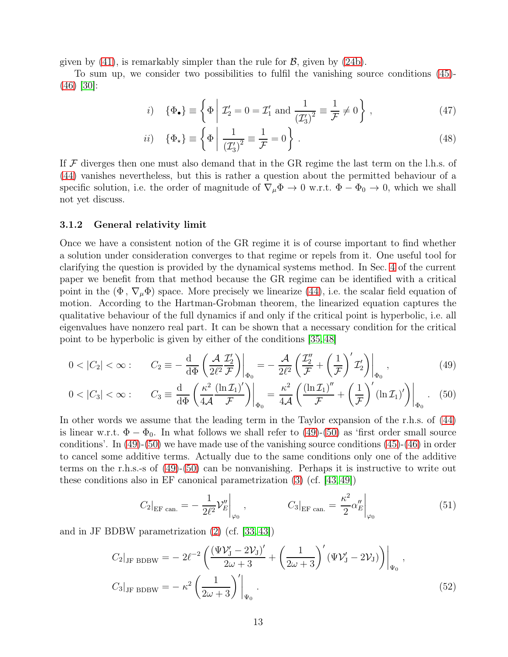given by  $(41)$ , is remarkably simpler than the rule for  $\mathcal{B}$ , given by  $(24b)$ .

To sum up, we consider two possibilities to fulfil the vanishing source conditions [\(45\)](#page-10-2)- [\(46\)](#page-10-3) [\[30\]](#page-31-2):

<span id="page-12-3"></span><span id="page-12-2"></span>
$$
i) \quad \{\Phi_{\bullet}\} \equiv \left\{\Phi \mid \mathcal{I}'_2 = 0 = \mathcal{I}'_1 \text{ and } \frac{1}{\left(\mathcal{I}'_3\right)^2} \equiv \frac{1}{\mathcal{F}} \neq 0\right\},\tag{47}
$$

$$
ii) \quad \{\Phi_{\star}\} \equiv \left\{\Phi \left| \frac{1}{\left(\mathcal{I}_3'\right)^2} \equiv \frac{1}{\mathcal{F}} = 0 \right.\right\} \,. \tag{48}
$$

If  $\mathcal F$  diverges then one must also demand that in the GR regime the last term on the l.h.s. of [\(44\)](#page-10-1) vanishes nevertheless, but this is rather a question about the permitted behaviour of a specific solution, i.e. the order of magnitude of  $\nabla_{\mu} \Phi \to 0$  w.r.t.  $\Phi - \Phi_0 \to 0$ , which we shall not yet discuss.

#### <span id="page-12-6"></span>3.1.2 General relativity limit

Once we have a consistent notion of the GR regime it is of course important to find whether a solution under consideration converges to that regime or repels from it. One useful tool for clarifying the question is provided by the dynamical systems method. In Sec. [4](#page-20-0) of the current paper we benefit from that method because the GR regime can be identified with a critical point in the  $(\Phi, \nabla_{\mu} \Phi)$  space. More precisely we linearize [\(44\)](#page-10-1), i.e. the scalar field equation of motion. According to the Hartman-Grobman theorem, the linearized equation captures the qualitative behaviour of the full dynamics if and only if the critical point is hyperbolic, i.e. all eigenvalues have nonzero real part. It can be shown that a necessary condition for the critical point to be hyperbolic is given by either of the conditions [\[35,](#page-32-12) [48\]](#page-33-0)

$$
0 < |C_2| < \infty: \qquad C_2 \equiv -\frac{\mathrm{d}}{\mathrm{d}\Phi} \left( \frac{\mathcal{A}}{2\ell^2} \frac{\mathcal{I}_2'}{\mathcal{F}} \right) \Big|_{\Phi_0} = -\frac{\mathcal{A}}{2\ell^2} \left( \frac{\mathcal{I}_2''}{\mathcal{F}} + \left( \frac{1}{\mathcal{F}} \right)' \mathcal{I}_2' \right) \Big|_{\Phi_0}, \tag{49}
$$

$$
0 < |C_3| < \infty: \qquad C_3 \equiv \frac{\mathrm{d}}{\mathrm{d}\Phi} \left( \frac{\kappa^2}{4\mathcal{A}} \frac{(\ln \mathcal{I}_1)'}{\mathcal{F}} \right) \Big|_{\Phi_0} = \frac{\kappa^2}{4\mathcal{A}} \left( \frac{(\ln \mathcal{I}_1)''}{\mathcal{F}} + \left( \frac{1}{\mathcal{F}} \right)' (\ln \mathcal{I}_1)' \right) \Big|_{\Phi_0} . \tag{50}
$$

In other words we assume that the leading term in the Taylor expansion of the r.h.s. of [\(44\)](#page-10-1) is linear w.r.t.  $\Phi - \Phi_0$ . In what follows we shall refer to [\(49\)](#page-12-0)-[\(50\)](#page-12-1) as 'first order small source conditions'. In [\(49\)](#page-12-0)-[\(50\)](#page-12-1) we have made use of the vanishing source conditions [\(45\)](#page-10-2)-[\(46\)](#page-10-3) in order to cancel some additive terms. Actually due to the same conditions only one of the additive terms on the r.h.s.-s of [\(49\)](#page-12-0)-[\(50\)](#page-12-1) can be nonvanishing. Perhaps it is instructive to write out these conditions also in EF canonical parametrization [\(3\)](#page-6-1) (cf. [\[43,](#page-32-7) [49\]](#page-33-1))

<span id="page-12-5"></span><span id="page-12-4"></span><span id="page-12-1"></span><span id="page-12-0"></span>
$$
C_2|_{\text{EF can.}} = -\frac{1}{2\ell^2} \mathcal{V}_E''\Big|_{\varphi_0} , \qquad C_3|_{\text{EF can.}} = \frac{\kappa^2}{2} \alpha_E''\Big|_{\varphi_0} \tag{51}
$$

and in JF BDBW parametrization [\(2\)](#page-6-6) (cf. [\[33,](#page-31-5) [43\]](#page-32-7))

$$
C_2|_{\text{JF BDBW}} = -2\ell^{-2} \left( \frac{(\Psi \mathcal{V}_J' - 2\mathcal{V}_J)'}{2\omega + 3} + \left( \frac{1}{2\omega + 3} \right)' (\Psi \mathcal{V}_J' - 2\mathcal{V}_J) \right)\Big|_{\Psi_0},
$$
  

$$
C_3|_{\text{JF BDBW}} = -\kappa^2 \left( \frac{1}{2\omega + 3} \right)' \Big|_{\Psi_0}.
$$
 (52)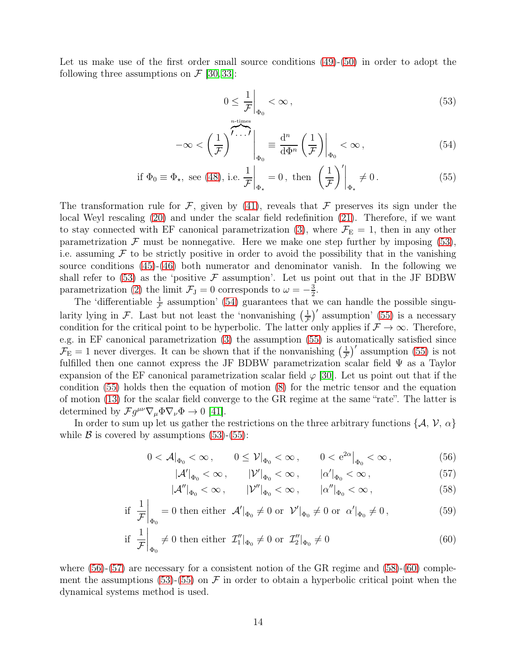Let us make use of the first order small source conditions  $(49)-(50)$  $(49)-(50)$  in order to adopt the following three assumptions on  $\mathcal{F}$  [\[30,](#page-31-2) [33\]](#page-31-5):

<span id="page-13-4"></span><span id="page-13-3"></span><span id="page-13-2"></span>
$$
0 \leq \frac{1}{\mathcal{F}} \bigg|_{\Phi_0} < \infty \,, \tag{53}
$$

$$
-\infty < \left(\frac{1}{\mathcal{F}}\right)^{\overbrace{\mathcal{F}\cdots\mathcal{F}}} \bigg|_{\Phi_0} \equiv \frac{d^n}{d\Phi^n} \left(\frac{1}{\mathcal{F}}\right) \bigg|_{\Phi_0} < \infty \,, \tag{54}
$$

$$
\text{if } \Phi_0 \equiv \Phi_\star, \text{ see (48), i.e. } \frac{1}{\mathcal{F}}\bigg|_{\Phi_\star} = 0, \text{ then } \left(\frac{1}{\mathcal{F}}\right)'\bigg|_{\Phi_\star} \neq 0. \tag{55}
$$

The transformation rule for F, given by [\(41\)](#page-9-2), reveals that F preserves its sign under the local Weyl rescaling [\(20\)](#page-5-0) and under the scalar field redefinition [\(21\)](#page-5-1). Therefore, if we want to stay connected with EF canonical parametrization [\(3\)](#page-6-1), where  $\mathcal{F}_{E} = 1$ , then in any other parametrization  $\mathcal F$  must be nonnegative. Here we make one step further by imposing [\(53\)](#page-13-2), i.e. assuming  $\mathcal F$  to be strictly positive in order to avoid the possibility that in the vanishing source conditions [\(45\)](#page-10-2)-[\(46\)](#page-10-3) both numerator and denominator vanish. In the following we shall refer to [\(53\)](#page-13-2) as the 'positive  $\mathcal F$  assumption'. Let us point out that in the JF BDBW parametrization [\(2\)](#page-6-6) the limit  $\mathcal{F}_{J} = 0$  corresponds to  $\omega = -\frac{3}{2}$  $\frac{3}{2}$ .

The 'differentiable  $\frac{1}{\mathcal{F}}$  assumption' [\(54\)](#page-13-3) guarantees that we can handle the possible singularity lying in F. Last but not least the 'nonvanishing  $\left(\frac{1}{F}\right)'$  assumption' [\(55\)](#page-13-4) is a necessary condition for the critical point to be hyperbolic. The latter only applies if  $\mathcal{F} \to \infty$ . Therefore, e.g. in EF canonical parametrization [\(3\)](#page-6-1) the assumption [\(55\)](#page-13-4) is automatically satisfied since  $\mathcal{F}_{\rm E} = 1$  never diverges. It can be shown that if the nonvanishing  $\left(\frac{1}{\mathcal{F}}\right)'$  assumption [\(55\)](#page-13-4) is not fulfilled then one cannot express the JF BDBW parametrization scalar field Ψ as a Taylor expansion of the EF canonical parametrization scalar field  $\varphi$  [\[30\]](#page-31-2). Let us point out that if the condition [\(55\)](#page-13-4) holds then the equation of motion [\(8\)](#page-4-1) for the metric tensor and the equation of motion [\(13\)](#page-4-3) for the scalar field converge to the GR regime at the same "rate". The latter is determined by  $\mathcal{F} g^{\mu\nu} \nabla_{\mu} \Phi \nabla_{\nu} \Phi \to 0$  [\[41\]](#page-32-5).

In order to sum up let us gather the restrictions on the three arbitrary functions  $\{A, V, \alpha\}$ while  $\beta$  is covered by assumptions [\(53\)](#page-13-2)-[\(55\)](#page-13-4):

$$
0 < \mathcal{A}|_{\Phi_0} < \infty \,, \qquad 0 \le \mathcal{V}|_{\Phi_0} < \infty \,, \qquad 0 < e^{2\alpha} \big|_{\Phi_0} < \infty \,, \tag{56}
$$

<span id="page-13-7"></span><span id="page-13-6"></span><span id="page-13-5"></span><span id="page-13-1"></span><span id="page-13-0"></span>
$$
|\mathcal{A}'|_{\Phi_0} < \infty , \qquad |\mathcal{V}'|_{\Phi_0} < \infty , \qquad |\alpha'|_{\Phi_0} < \infty , \tag{57}
$$

$$
|\mathcal{A}''|_{\Phi_0} < \infty, \qquad |\mathcal{V}''|_{\Phi_0} < \infty, \qquad |\alpha''|_{\Phi_0} < \infty, \tag{58}
$$

$$
\text{if } \frac{1}{\mathcal{F}}\bigg|_{\Phi_0} = 0 \text{ then either } \mathcal{A}'|_{\Phi_0} \neq 0 \text{ or } \mathcal{V}'|_{\Phi_0} \neq 0 \text{ or } \alpha'|_{\Phi_0} \neq 0, \tag{59}
$$

if 
$$
\frac{1}{\mathcal{F}}\Big|_{\Phi_0} \neq 0
$$
 then either  $\mathcal{I}_1''|_{\Phi_0} \neq 0$  or  $\mathcal{I}_2''|_{\Phi_0} \neq 0$  (60)

where  $(56)-(57)$  $(56)-(57)$  are necessary for a consistent notion of the GR regime and  $(58)-(60)$  $(58)-(60)$  $(58)-(60)$  comple-ment the assumptions [\(53\)](#page-13-2)-[\(55\)](#page-13-4) on  $\mathcal F$  in order to obtain a hyperbolic critical point when the dynamical systems method is used.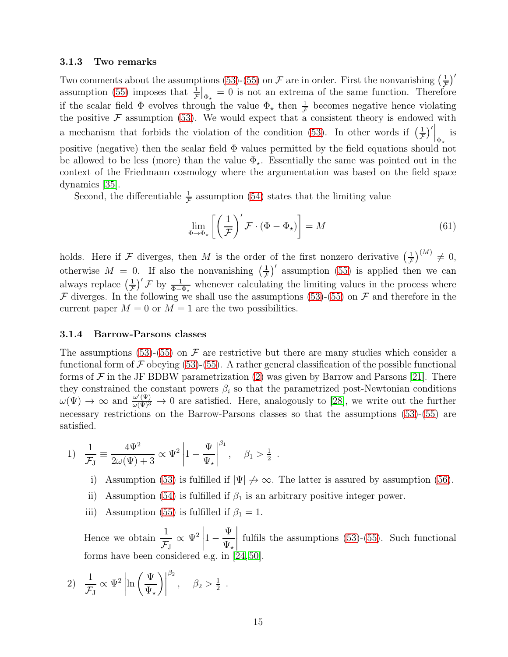#### <span id="page-14-1"></span>3.1.3 Two remarks

Two comments about the assumptions [\(53\)](#page-13-2)-[\(55\)](#page-13-4) on  $\mathcal F$  are in order. First the nonvanishing  $\left(\frac{1}{\mathcal F}\right)'$ assumption [\(55\)](#page-13-4) imposes that  $\frac{1}{\mathcal{F}}|_{\Phi_{\star}}=0$  is not an extrema of the same function. Therefore if the scalar field  $\Phi$  evolves through the value  $\Phi_{\star}$  then  $\frac{1}{f}$  becomes negative hence violating the positive  $\mathcal F$  assumption [\(53\)](#page-13-2). We would expect that a consistent theory is endowed with a mechanism that forbids the violation of the condition [\(53\)](#page-13-2). In other words if  $\left(\frac{1}{\mathcal{F}}\right)'|_{\Phi_{\star}}$  is positive (negative) then the scalar field  $\Phi$  values permitted by the field equations should not be allowed to be less (more) than the value  $\Phi_{\star}$ . Essentially the same was pointed out in the context of the Friedmann cosmology where the argumentation was based on the field space dynamics [\[35\]](#page-32-12).

Second, the differentiable  $\frac{1}{\mathcal{F}}$  assumption [\(54\)](#page-13-3) states that the limiting value

<span id="page-14-0"></span>
$$
\lim_{\Phi \to \Phi_{\star}} \left[ \left( \frac{1}{\mathcal{F}} \right)' \mathcal{F} \cdot (\Phi - \Phi_{\star}) \right] = M \tag{61}
$$

holds. Here if F diverges, then M is the order of the first nonzero derivative  $\left(\frac{1}{F}\right)^{(M)} \neq 0$ , otherwise  $M = 0$ . If also the nonvanishing  $\left(\frac{1}{\mathcal{F}}\right)'$  assumption [\(55\)](#page-13-4) is applied then we can always replace  $\left(\frac{1}{\mathcal{F}}\right)' \mathcal{F}$  by  $\frac{1}{\Phi - \Phi_{\star}}$  whenever calculating the limiting values in the process where  $\mathcal F$  diverges. In the following we shall use the assumptions [\(53\)](#page-13-2)-[\(55\)](#page-13-4) on  $\mathcal F$  and therefore in the current paper  $M = 0$  or  $M = 1$  are the two possibilities.

#### 3.1.4 Barrow-Parsons classes

The assumptions [\(53\)](#page-13-2)-[\(55\)](#page-13-4) on  $\mathcal F$  are restrictive but there are many studies which consider a functional form of  $\mathcal F$  obeying [\(53\)](#page-13-2)-[\(55\)](#page-13-4). A rather general classification of the possible functional forms of  $\mathcal F$  in the JF BDBW parametrization [\(2\)](#page-6-6) was given by Barrow and Parsons [\[21\]](#page-31-6). There they constrained the constant powers  $\beta_i$  so that the parametrized post-Newtonian conditions  $\omega(\Psi) \to \infty$  and  $\frac{\omega'(\Psi)}{\omega(\Psi)^3} \to 0$  are satisfied. Here, analogously to [\[28\]](#page-31-0), we write out the further necessary restrictions on the Barrow-Parsons classes so that the assumptions [\(53\)](#page-13-2)-[\(55\)](#page-13-4) are satisfied.

1) 
$$
\frac{1}{\mathcal{F}_J} \equiv \frac{4\Psi^2}{2\omega(\Psi) + 3} \propto \Psi^2 \left| 1 - \frac{\Psi}{\Psi_{\star}} \right|^{\beta_1}, \quad \beta_1 > \frac{1}{2}.
$$

- i) Assumption [\(53\)](#page-13-2) is fulfilled if  $|\Psi| \nrightarrow \infty$ . The latter is assured by assumption [\(56\)](#page-13-0).
- ii) Assumption [\(54\)](#page-13-3) is fulfilled if  $\beta_1$  is an arbitrary positive integer power.
- iii) Assumption [\(55\)](#page-13-4) is fulfilled if  $\beta_1 = 1$ .

Hence we obtain  $\frac{1}{\tau}$  $\mathcal{F}^{\,}_{\mathrm{J}}$  $\propto \Psi^2$  $1 -$ Ψ  $\Psi_\star$  fulfils the assumptions [\(53\)](#page-13-2)-[\(55\)](#page-13-4). Such functional forms have been considered e.g. in [\[24,](#page-31-7) [50\]](#page-33-2).

2) 
$$
\frac{1}{\mathcal{F}_J} \propto \Psi^2 \left| \ln \left( \frac{\Psi}{\Psi_{\star}} \right) \right|^{\beta_2}, \quad \beta_2 > \frac{1}{2}.
$$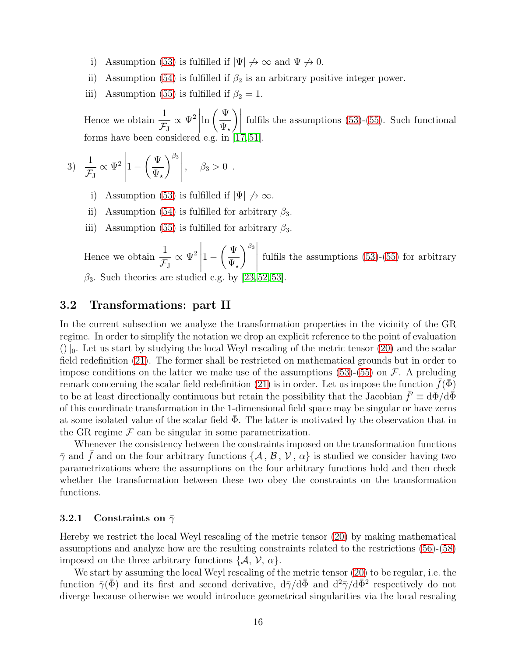- i) Assumption [\(53\)](#page-13-2) is fulfilled if  $|\Psi| \nrightarrow \infty$  and  $\Psi \nrightarrow 0$ .
- ii) Assumption [\(54\)](#page-13-3) is fulfilled if  $\beta_2$  is an arbitrary positive integer power.
- iii) Assumption [\(55\)](#page-13-4) is fulfilled if  $\beta_2 = 1$ .

Hence we obtain  $\frac{1}{\tau}$  $\mathcal{F}^{\,}_{\mathrm{J}}$  $\propto \Psi^2$  $\ln\left(\frac{\Psi}{\Psi}\right)$  $\Psi_\star$  $\left| \begin{matrix} 1 \\ 1 \end{matrix} \right|$ fulfils the assumptions [\(53\)](#page-13-2)-[\(55\)](#page-13-4). Such functional forms have been considered e.g. in [\[17,](#page-30-8) [51\]](#page-33-3).

3) 
$$
\frac{1}{\mathcal{F}_J} \propto \Psi^2 \left| 1 - \left( \frac{\Psi}{\Psi_{\star}} \right)^{\beta_3} \right|, \quad \beta_3 > 0.
$$

- i) Assumption [\(53\)](#page-13-2) is fulfilled if  $|\Psi| \nrightarrow \infty$ .
- ii) Assumption [\(54\)](#page-13-3) is fulfilled for arbitrary  $\beta_3$ .
- iii) Assumption [\(55\)](#page-13-4) is fulfilled for arbitrary  $\beta_3$ .

Hence we obtain  $\frac{1}{\tau}$  $\mathcal{F}_{\rm J}$  $\propto \Psi^2$  $1 \sqrt{\Psi}$  $\Psi_\star$  $\left.\begin{matrix} \beta_3 \\ \vdots \\ \beta_n \end{matrix}\right|$ fulfils the assumptions [\(53\)](#page-13-2)-[\(55\)](#page-13-4) for arbitrary  $\beta_3$ . Such theories are studied e.g. by [\[23,](#page-31-8) [52,](#page-33-4) [53\]](#page-33-5).

### 3.2 Transformations: part II

In the current subsection we analyze the transformation properties in the vicinity of the GR regime. In order to simplify the notation we drop an explicit reference to the point of evaluation  $($ )| $_0$ . Let us start by studying the local Weyl rescaling of the metric tensor [\(20\)](#page-5-0) and the scalar field redefinition [\(21\)](#page-5-1). The former shall be restricted on mathematical grounds but in order to impose conditions on the latter we make use of the assumptions  $(53)-(55)$  $(53)-(55)$  on F. A preluding remark concerning the scalar field redefinition [\(21\)](#page-5-1) is in order. Let us impose the function  $f(\bar{\Phi})$ to be at least directionally continuous but retain the possibility that the Jacobian  $\bar{f}' \equiv d\Phi/d\bar{\Phi}$ of this coordinate transformation in the 1-dimensional field space may be singular or have zeros at some isolated value of the scalar field  $\Phi$ . The latter is motivated by the observation that in the GR regime  $\mathcal F$  can be singular in some parametrization.

Whenever the consistency between the constraints imposed on the transformation functions  $\bar{\gamma}$  and  $\bar{f}$  and on the four arbitrary functions  $\{A, B, V, \alpha\}$  is studied we consider having two parametrizations where the assumptions on the four arbitrary functions hold and then check whether the transformation between these two obey the constraints on the transformation functions.

#### 3.2.1 Constraints on  $\bar{\gamma}$

Hereby we restrict the local Weyl rescaling of the metric tensor [\(20\)](#page-5-0) by making mathematical assumptions and analyze how are the resulting constraints related to the restrictions [\(56\)](#page-13-0)-[\(58\)](#page-13-5) imposed on the three arbitrary functions  $\{A, V, \alpha\}.$ 

We start by assuming the local Weyl rescaling of the metric tensor [\(20\)](#page-5-0) to be regular, i.e. the function  $\bar{\gamma}(\bar{\Phi})$  and its first and second derivative,  $d\bar{\gamma}/d\bar{\Phi}$  and  $d^2\bar{\gamma}/d\bar{\Phi}^2$  respectively do not diverge because otherwise we would introduce geometrical singularities via the local rescaling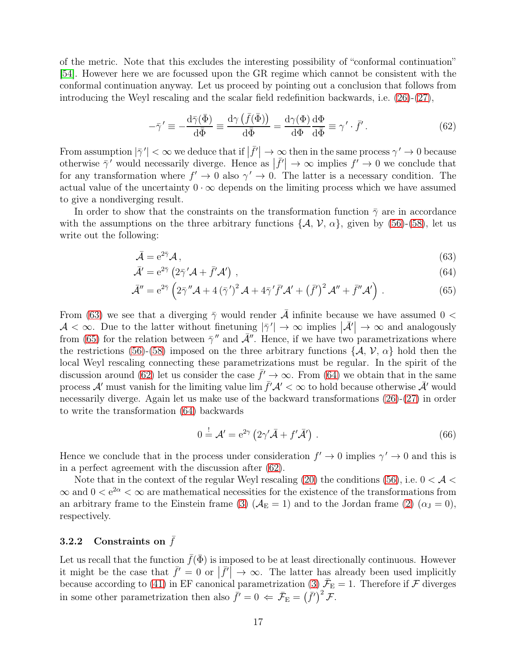of the metric. Note that this excludes the interesting possibility of "conformal continuation" [\[54\]](#page-33-6). However here we are focussed upon the GR regime which cannot be consistent with the conformal continuation anyway. Let us proceed by pointing out a conclusion that follows from introducing the Weyl rescaling and the scalar field redefinition backwards, i.e. [\(26\)](#page-6-4)-[\(27\)](#page-6-5),

<span id="page-16-4"></span>
$$
-\bar{\gamma}' \equiv -\frac{\mathrm{d}\bar{\gamma}(\bar{\Phi})}{\mathrm{d}\bar{\Phi}} \equiv \frac{\mathrm{d}\gamma(\bar{f}(\bar{\Phi}))}{\mathrm{d}\bar{\Phi}} = \frac{\mathrm{d}\gamma(\Phi)}{\mathrm{d}\Phi}\frac{\mathrm{d}\Phi}{\mathrm{d}\bar{\Phi}} \equiv \gamma' \cdot \bar{f}'.
$$
 (62)

From assumption  $|\bar{\gamma}'| < \infty$  we deduce that if  $|\bar{f}'| \to \infty$  then in the same process  $\gamma' \to 0$  because otherwise  $\bar{\gamma}^{\prime}$  would necessarily diverge. Hence as  $|\bar{f}'| \to \infty$  implies  $f' \to 0$  we conclude that for any transformation where  $f' \to 0$  also  $\gamma' \to 0$ . The latter is a necessary condition. The actual value of the uncertainty  $0 \cdot \infty$  depends on the limiting process which we have assumed to give a nondiverging result.

In order to show that the constraints on the transformation function  $\bar{\gamma}$  are in accordance with the assumptions on the three arbitrary functions  $\{\mathcal{A}, \mathcal{V}, \alpha\}$ , given by [\(56\)](#page-13-0)-[\(58\)](#page-13-5), let us write out the following:

$$
\bar{\mathcal{A}} = e^{2\bar{\gamma}} \mathcal{A},\tag{63}
$$

$$
\bar{\mathcal{A}}' = e^{2\bar{\gamma}} \left( 2\bar{\gamma}' \mathcal{A} + \bar{f}' \mathcal{A}' \right) , \qquad (64)
$$

$$
\bar{\mathcal{A}}'' = e^{2\bar{\gamma}} \left( 2\bar{\gamma}'' \mathcal{A} + 4 \left( \bar{\gamma}' \right)^2 \mathcal{A} + 4\bar{\gamma}' \bar{f}' \mathcal{A}' + \left( \bar{f}' \right)^2 \mathcal{A}'' + \bar{f}'' \mathcal{A}' \right) . \tag{65}
$$

From [\(63\)](#page-16-2) we see that a diverging  $\bar{\gamma}$  would render  $\bar{\mathcal{A}}$  infinite because we have assumed 0 <  $\mathcal{A} < \infty$ . Due to the latter without finetuning  $|\bar{\gamma}'| \to \infty$  implies  $|\bar{\mathcal{A}}'| \to \infty$  and analogously from [\(65\)](#page-16-3) for the relation between  $\bar{\gamma}''$  and  $\bar{\mathcal{A}}''$ . Hence, if we have two parametrizations where the restrictions [\(56\)](#page-13-0)-[\(58\)](#page-13-5) imposed on the three arbitrary functions  $\{A, V, \alpha\}$  hold then the local Weyl rescaling connecting these parametrizations must be regular. In the spirit of the discussion around [\(62\)](#page-16-4) let us consider the case  $\bar{f}' \to \infty$ . From [\(64\)](#page-16-0) we obtain that in the same process  $\mathcal{A}'$  must vanish for the limiting value  $\lim \bar{f}' \mathcal{A}' < \infty$  to hold because otherwise  $\bar{\mathcal{A}}'$  would necessarily diverge. Again let us make use of the backward transformations  $(26)-(27)$  $(26)-(27)$  in order to write the transformation [\(64\)](#page-16-0) backwards

<span id="page-16-3"></span><span id="page-16-2"></span><span id="page-16-1"></span><span id="page-16-0"></span>
$$
0 = \mathcal{A}' = e^{2\gamma} \left( 2\gamma' \bar{\mathcal{A}} + f' \bar{\mathcal{A}}' \right) . \tag{66}
$$

Hence we conclude that in the process under consideration  $f' \to 0$  implies  $\gamma' \to 0$  and this is in a perfect agreement with the discussion after [\(62\)](#page-16-4).

Note that in the context of the regular Weyl rescaling [\(20\)](#page-5-0) the conditions [\(56\)](#page-13-0), i.e.  $0 < A <$  $\infty$  and  $0 < e^{2\alpha} < \infty$  are mathematical necessities for the existence of the transformations from an arbitrary frame to the Einstein frame [\(3\)](#page-6-1) ( $A<sub>E</sub> = 1$ ) and to the Jordan frame [\(2\)](#page-6-6) ( $\alpha<sub>J</sub> = 0$ ), respectively.

# 3.2.2 Constraints on  $\bar{f}$

Let us recall that the function  $\bar{f}(\bar{\Phi})$  is imposed to be at least directionally continuous. However it might be the case that  $\bar{f}' = 0$  or  $|\bar{f}'| \to \infty$ . The latter has already been used implicitly because according to [\(41\)](#page-9-2) in EF canonical parametrization [\(3\)](#page-6-1)  $\bar{\mathcal{F}}_E = 1$ . Therefore if  $\mathcal F$  diverges in some other parametrization then also  $\bar{f}' = 0 \iff \bar{\mathcal{F}}_E = (\bar{f}')^2 \mathcal{F}.$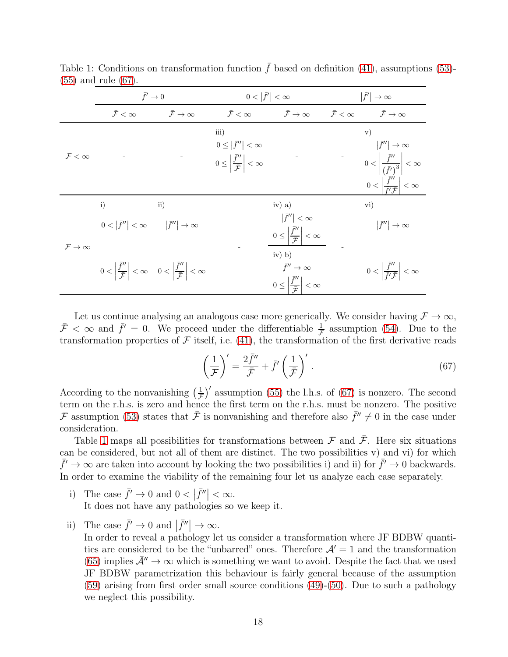|                                  | $\bar{f}' \to 0$                                                                                              |                                | $0< \bar{f}' <\infty$                                                                                         |                                                                                                                                                                | $ \bar{f}' \to\infty$      |                                                                                                                                                                            |
|----------------------------------|---------------------------------------------------------------------------------------------------------------|--------------------------------|---------------------------------------------------------------------------------------------------------------|----------------------------------------------------------------------------------------------------------------------------------------------------------------|----------------------------|----------------------------------------------------------------------------------------------------------------------------------------------------------------------------|
|                                  | $\bar{\mathcal{F}}<\infty$                                                                                    | $\bar{\mathcal{F}} \to \infty$ | $\bar{\mathcal{F}}<\infty$                                                                                    | $\bar{\mathcal{F}} \to \infty$                                                                                                                                 | $\bar{\mathcal{F}}<\infty$ | $\bar{\mathcal{F}} \to \infty$                                                                                                                                             |
| $\mathcal{F}<\infty$             |                                                                                                               |                                | iii)<br>$0 \leq  \bar{f}''  < \infty$<br>$0 \leq \left  \frac{\bar{f}''}{\bar{\mathcal{F}}} \right  < \infty$ |                                                                                                                                                                |                            | $\mathbf{v})$<br>$ \bar{f}''  \to \infty$<br>$0<\left \frac{\bar{f}''}{(\bar{f}')^3}\right <\infty$<br>$0<\left \frac{\bar{f}''}{\bar{f}'\bar{\mathcal{F}}}\right <\infty$ |
| $\mathcal{F} \rightarrow \infty$ | i)<br>$0< \bar{f}'' <\infty$ $ \bar{f}''  \to \infty$                                                         | $\mathbf{ii}$                  |                                                                                                               | $iv)$ a)<br>$ \bar{f}''  < \infty$                                                                                                                             |                            | $\rm vi)$<br>$ \bar{f}''  \to \infty$                                                                                                                                      |
|                                  | $0 < \left  \frac{f''}{\overline{F}} \right  < \infty$ $0 < \left  \frac{f''}{\overline{F}} \right  < \infty$ |                                |                                                                                                               | $0 \leq \left  \frac{\bar{f}''}{\bar{F}} \right  < \infty$<br>$iv)$ b)<br>$\bar{f}'' \to \infty$<br>$0 \leq \left  \frac{\bar{f}''}{\bar{F}} \right  < \infty$ |                            | $0<\left \frac{\bar{f}''}{\bar{f}'\bar{F}}\right <\infty$                                                                                                                  |

<span id="page-17-1"></span>Table 1: Conditions on transformation function  $\bar{f}$  based on definition [\(41\)](#page-9-2), assumptions [\(53\)](#page-13-2)-[\(55\)](#page-13-4) and rule [\(67\)](#page-17-0).

Let us continue analysing an analogous case more generically. We consider having  $\mathcal{F} \to \infty$ ,  $\bar{\mathcal{F}} < \infty$  and  $\bar{f}' = 0$ . We proceed under the differentiable  $\frac{1}{\mathcal{F}}$  assumption [\(54\)](#page-13-3). Due to the transformation properties of  $\mathcal F$  itself, i.e. [\(41\)](#page-9-2), the transformation of the first derivative reads

<span id="page-17-0"></span>
$$
\left(\frac{1}{\mathcal{F}}\right)' = \frac{2\bar{f}''}{\bar{\mathcal{F}}} + \bar{f}'\left(\frac{1}{\bar{\mathcal{F}}}\right)'.
$$
\n(67)

According to the nonvanishing  $\left(\frac{1}{\mathcal{F}}\right)'$  assumption [\(55\)](#page-13-4) the l.h.s. of [\(67\)](#page-17-0) is nonzero. The second term on the r.h.s. is zero and hence the first term on the r.h.s. must be nonzero. The positive F assumption [\(53\)](#page-13-2) states that  $\bar{\mathcal{F}}$  is nonvanishing and therefore also  $\bar{f}'' \neq 0$  in the case under consideration.

Table [1](#page-17-1) maps all possibilities for transformations between  $\mathcal F$  and  $\bar{\mathcal F}$ . Here six situations can be considered, but not all of them are distinct. The two possibilities v) and vi) for which  $\bar{f}' \to \infty$  are taken into account by looking the two possibilities i) and ii) for  $\bar{f}' \to 0$  backwards. In order to examine the viability of the remaining four let us analyze each case separately.

- i) The case  $\bar{f}' \to 0$  and  $0 < |\bar{f}''| < \infty$ . It does not have any pathologies so we keep it.
- ii) The case  $\bar{f}' \to 0$  and  $|\bar{f}''| \to \infty$ .

In order to reveal a pathology let us consider a transformation where JF BDBW quantities are considered to be the "unbarred" ones. Therefore  $\mathcal{A}' = 1$  and the transformation [\(65\)](#page-16-3) implies  $\bar{\mathcal{A}}'' \to \infty$  which is something we want to avoid. Despite the fact that we used JF BDBW parametrization this behaviour is fairly general because of the assumption [\(59\)](#page-13-7) arising from first order small source conditions [\(49\)](#page-12-0)-[\(50\)](#page-12-1). Due to such a pathology we neglect this possibility.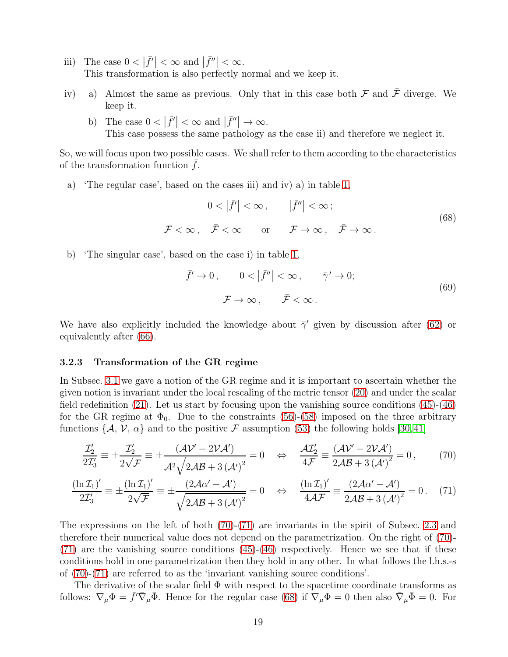- iii) The case  $0 < |\bar{f}'| < \infty$  and  $|\bar{f}''| < \infty$ . This transformation is also perfectly normal and we keep it.
- iv) a) Almost the same as previous. Only that in this case both  $\mathcal F$  and  $\bar{\mathcal F}$  diverge. We keep it.
	- b) The case  $0 < |\bar{f}'| < \infty$  and  $|\bar{f}''| \to \infty$ . This case possess the same pathology as the case ii) and therefore we neglect it.

So, we will focus upon two possible cases. We shall refer to them according to the characteristics of the transformation function  $f$ .

a) 'The regular case', based on the cases iii) and iv) a) in table [1,](#page-17-1)

<span id="page-18-2"></span>
$$
0 < |\bar{f}'| < \infty, \qquad |\bar{f}''| < \infty; \\
\mathcal{F} < \infty, \quad \bar{\mathcal{F}} < \infty \qquad \text{or} \qquad \mathcal{F} \to \infty, \quad \bar{\mathcal{F}} \to \infty.
$$
\n
$$
(68)
$$

b) 'The singular case', based on the case i) in table [1,](#page-17-1)

<span id="page-18-3"></span><span id="page-18-1"></span><span id="page-18-0"></span>
$$
\bar{f}' \to 0, \qquad 0 < |\bar{f}''| < \infty, \qquad \bar{\gamma}' \to 0; \\
\mathcal{F} \to \infty, \qquad \bar{\mathcal{F}} < \infty.
$$
\n
$$
(69)
$$

We have also explicitly included the knowledge about  $\bar{\gamma}'$  given by discussion after [\(62\)](#page-16-4) or equivalently after [\(66\)](#page-16-1).

#### 3.2.3 Transformation of the GR regime

In Subsec. [3.1](#page-10-4) we gave a notion of the GR regime and it is important to ascertain whether the given notion is invariant under the local rescaling of the metric tensor [\(20\)](#page-5-0) and under the scalar field redefinition  $(21)$ . Let us start by focusing upon the vanishing source conditions  $(45)-(46)$  $(45)-(46)$ for the GR regime at  $\Phi_0$ . Due to the constraints [\(56\)](#page-13-0)-[\(58\)](#page-13-5) imposed on the three arbitrary functions  $\{A, V, \alpha\}$  and to the positive F assumption [\(53\)](#page-13-2) the following holds [\[30,](#page-31-2)41]

$$
\frac{\mathcal{I}_2'}{2\mathcal{I}_3'} \equiv \pm \frac{\mathcal{I}_2'}{2\sqrt{\mathcal{F}}} \equiv \pm \frac{(\mathcal{A}\mathcal{V}' - 2\mathcal{V}\mathcal{A}')}{\mathcal{A}^2 \sqrt{2\mathcal{A}\mathcal{B} + 3(\mathcal{A}')^2}} = 0 \quad \Leftrightarrow \quad \frac{\mathcal{A}\mathcal{I}_2'}{4\mathcal{F}} \equiv \frac{(\mathcal{A}\mathcal{V}' - 2\mathcal{V}\mathcal{A}')}{2\mathcal{A}\mathcal{B} + 3(\mathcal{A}')^2} = 0, \tag{70}
$$

$$
\frac{(\ln \mathcal{I}_1)'}{2\mathcal{I}_3'} \equiv \pm \frac{(\ln \mathcal{I}_1)'}{2\sqrt{\mathcal{F}}} \equiv \pm \frac{(2\mathcal{A}\alpha' - \mathcal{A}')}{\sqrt{2\mathcal{A}\mathcal{B} + 3(\mathcal{A}')}^2} = 0 \quad \Leftrightarrow \quad \frac{(\ln \mathcal{I}_1)'}{4\mathcal{A}\mathcal{F}} \equiv \frac{(2\mathcal{A}\alpha' - \mathcal{A}')}{2\mathcal{A}\mathcal{B} + 3(\mathcal{A}')^2} = 0. \tag{71}
$$

The expressions on the left of both [\(70\)](#page-18-0)-[\(71\)](#page-18-1) are invariants in the spirit of Subsec. [2.3](#page-9-0) and therefore their numerical value does not depend on the parametrization. On the right of [\(70\)](#page-18-0)- [\(71\)](#page-18-1) are the vanishing source conditions [\(45\)](#page-10-2)-[\(46\)](#page-10-3) respectively. Hence we see that if these conditions hold in one parametrization then they hold in any other. In what follows the l.h.s.-s of [\(70\)](#page-18-0)-[\(71\)](#page-18-1) are referred to as the 'invariant vanishing source conditions'.

The derivative of the scalar field  $\Phi$  with respect to the spacetime coordinate transforms as follows:  $\nabla_{\mu} \Phi = \bar{f}' \bar{\nabla}_{\mu} \bar{\Phi}$ . Hence for the regular case [\(68\)](#page-18-2) if  $\nabla_{\mu} \Phi = 0$  then also  $\bar{\nabla}_{\mu} \bar{\Phi} = 0$ . For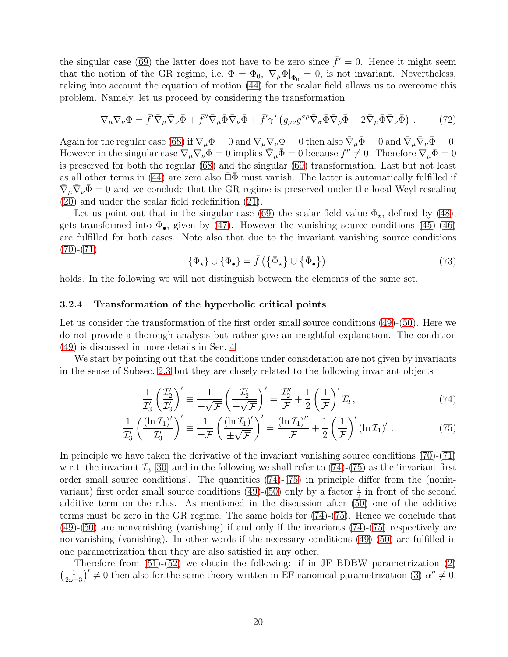the singular case [\(69\)](#page-18-3) the latter does not have to be zero since  $\bar{f}' = 0$ . Hence it might seem that the notion of the GR regime, i.e.  $\Phi = \Phi_0$ ,  $\nabla_{\mu} \Phi |_{\Phi_0} = 0$ , is not invariant. Nevertheless, taking into account the equation of motion [\(44\)](#page-10-1) for the scalar field allows us to overcome this problem. Namely, let us proceed by considering the transformation

$$
\nabla_{\mu}\nabla_{\nu}\Phi = \bar{f}'\bar{\nabla}_{\mu}\bar{\nabla}_{\nu}\bar{\Phi} + \bar{f}''\bar{\nabla}_{\mu}\bar{\Phi}\bar{\nabla}_{\nu}\bar{\Phi} + \bar{f}'\bar{\gamma}'\left(\bar{g}_{\mu\nu}\bar{g}^{\sigma\rho}\bar{\nabla}_{\sigma}\bar{\Phi}\bar{\nabla}_{\rho}\bar{\Phi} - 2\bar{\nabla}_{\mu}\bar{\Phi}\bar{\nabla}_{\nu}\bar{\Phi}\right). \tag{72}
$$

Again for the regular case [\(68\)](#page-18-2) if  $\nabla_{\mu} \Phi = 0$  and  $\nabla_{\mu} \nabla_{\nu} \Phi = 0$  then also  $\bar{\nabla}_{\mu} \bar{\Phi} = 0$  and  $\bar{\nabla}_{\mu} \bar{\nabla}_{\nu} \bar{\Phi} = 0$ . However in the singular case  $\nabla_{\mu} \nabla_{\nu} \Phi = 0$  implies  $\bar{\nabla}_{\mu} \bar{\Phi} = 0$  because  $\bar{f}'' \neq 0$ . Therefore  $\nabla_{\mu} \Phi = 0$ is preserved for both the regular [\(68\)](#page-18-2) and the singular [\(69\)](#page-18-3) transformation. Last but not least as all other terms in [\(44\)](#page-10-1) are zero also  $\bar{\Box}\Phi$  must vanish. The latter is automatically fulfilled if  $\bar{\nabla}_{\mu} \bar{\nabla}_{\nu} \bar{\Phi} = 0$  and we conclude that the GR regime is preserved under the local Weyl rescaling [\(20\)](#page-5-0) and under the scalar field redefinition [\(21\)](#page-5-1).

Let us point out that in the singular case [\(69\)](#page-18-3) the scalar field value  $\Phi_{\star}$ , defined by [\(48\)](#page-12-2), gets transformed into  $\Phi_{\bullet}$ , given by [\(47\)](#page-12-3). However the vanishing source conditions [\(45\)](#page-10-2)-[\(46\)](#page-10-3) are fulfilled for both cases. Note also that due to the invariant vanishing source conditions  $(70)-(71)$  $(70)-(71)$  $(70)-(71)$ 

<span id="page-19-1"></span><span id="page-19-0"></span>
$$
\{\Phi_{\star}\}\cup\{\Phi_{\bullet}\}=\bar{f}\left(\{\bar{\Phi}_{\star}\}\cup\{\bar{\Phi}_{\bullet}\}\right) \tag{73}
$$

holds. In the following we will not distinguish between the elements of the same set.

#### 3.2.4 Transformation of the hyperbolic critical points

Let us consider the transformation of the first order small source conditions [\(49\)](#page-12-0)-[\(50\)](#page-12-1). Here we do not provide a thorough analysis but rather give an insightful explanation. The condition [\(49\)](#page-12-0) is discussed in more details in Sec. [4.](#page-20-0)

We start by pointing out that the conditions under consideration are not given by invariants in the sense of Subsec. [2.3](#page-9-0) but they are closely related to the following invariant objects

$$
\frac{1}{\mathcal{I}_3'} \left( \frac{\mathcal{I}_2'}{\mathcal{I}_3'} \right)' = \frac{1}{\pm \sqrt{\mathcal{F}}} \left( \frac{\mathcal{I}_2'}{\pm \sqrt{\mathcal{F}}} \right)' = \frac{\mathcal{I}_2''}{\mathcal{F}} + \frac{1}{2} \left( \frac{1}{\mathcal{F}} \right)' \mathcal{I}_2',\tag{74}
$$

$$
\frac{1}{\mathcal{I}_3'} \left( \frac{(\ln \mathcal{I}_1)'}{\mathcal{I}_3'} \right)' \equiv \frac{1}{\pm \mathcal{F}} \left( \frac{(\ln \mathcal{I}_1)'}{\pm \sqrt{\mathcal{F}}} \right)' = \frac{(\ln \mathcal{I}_1)''}{\mathcal{F}} + \frac{1}{2} \left( \frac{1}{\mathcal{F}} \right)' (\ln \mathcal{I}_1)' \,. \tag{75}
$$

In principle we have taken the derivative of the invariant vanishing source conditions [\(70\)](#page-18-0)-[\(71\)](#page-18-1) w.r.t. the invariant  $\mathcal{I}_3$  [\[30\]](#page-31-2) and in the following we shall refer to [\(74\)](#page-19-0)-[\(75\)](#page-19-1) as the 'invariant first order small source conditions'. The quantities [\(74\)](#page-19-0)-[\(75\)](#page-19-1) in principle differ from the (nonin-variant) first order small source conditions [\(49\)](#page-12-0)-[\(50\)](#page-12-1) only by a factor  $\frac{1}{2}$  in front of the second additive term on the r.h.s. As mentioned in the discussion after [\(50\)](#page-12-1) one of the additive terms must be zero in the GR regime. The same holds for [\(74\)](#page-19-0)-[\(75\)](#page-19-1). Hence we conclude that [\(49\)](#page-12-0)-[\(50\)](#page-12-1) are nonvanishing (vanishing) if and only if the invariants [\(74\)](#page-19-0)-[\(75\)](#page-19-1) respectively are nonvanishing (vanishing). In other words if the necessary conditions [\(49\)](#page-12-0)-[\(50\)](#page-12-1) are fulfilled in one parametrization then they are also satisfied in any other.

Therefore from [\(51\)](#page-12-4)-[\(52\)](#page-12-5) we obtain the following: if in JF BDBW parametrization [\(2\)](#page-6-6)  $\left(\frac{1}{2\omega+3}\right)^{\prime} \neq 0$  then also for the same theory written in EF canonical parametrization [\(3\)](#page-6-1)  $\alpha'' \neq 0$ .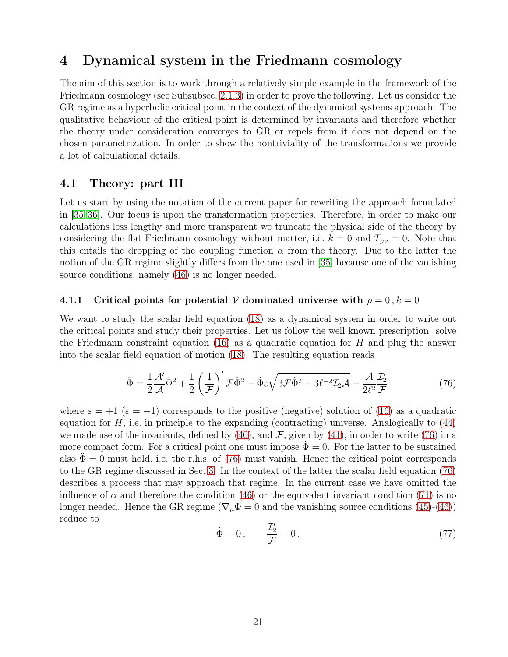# <span id="page-20-0"></span>4 Dynamical system in the Friedmann cosmology

The aim of this section is to work through a relatively simple example in the framework of the Friedmann cosmology (see Subsubsec. [2.1.3\)](#page-5-5) in order to prove the following. Let us consider the GR regime as a hyperbolic critical point in the context of the dynamical systems approach. The qualitative behaviour of the critical point is determined by invariants and therefore whether the theory under consideration converges to GR or repels from it does not depend on the chosen parametrization. In order to show the nontriviality of the transformations we provide a lot of calculational details.

## 4.1 Theory: part III

Let us start by using the notation of the current paper for rewriting the approach formulated in [\[35,](#page-32-12) [36\]](#page-32-0). Our focus is upon the transformation properties. Therefore, in order to make our calculations less lengthy and more transparent we truncate the physical side of the theory by considering the flat Friedmann cosmology without matter, i.e.  $k = 0$  and  $T_{\mu\nu} = 0$ . Note that this entails the dropping of the coupling function  $\alpha$  from the theory. Due to the latter the notion of the GR regime slightly differs from the one used in [\[35\]](#page-32-12) because one of the vanishing source conditions, namely [\(46\)](#page-10-3) is no longer needed.

#### 4.1.1 Critical points for potential V dominated universe with  $\rho = 0$ ,  $k = 0$

We want to study the scalar field equation [\(18\)](#page-5-6) as a dynamical system in order to write out the critical points and study their properties. Let us follow the well known prescription: solve the Friedmann constraint equation [\(16\)](#page-5-2) as a quadratic equation for  $H$  and plug the answer into the scalar field equation of motion [\(18\)](#page-5-6). The resulting equation reads

$$
\ddot{\Phi} = \frac{1}{2} \frac{\mathcal{A}'}{\mathcal{A}} \dot{\Phi}^2 + \frac{1}{2} \left( \frac{1}{\mathcal{F}} \right)' \mathcal{F} \dot{\Phi}^2 - \dot{\Phi} \varepsilon \sqrt{3 \mathcal{F} \dot{\Phi}^2 + 3 \ell^{-2} \mathcal{I}_2 \mathcal{A}} - \frac{\mathcal{A}}{2 \ell^2} \frac{\mathcal{I}_2'}{\mathcal{F}}
$$
(76)

where  $\varepsilon = +1$  ( $\varepsilon = -1$ ) corresponds to the positive (negative) solution of [\(16\)](#page-5-2) as a quadratic equation for  $H$ , i.e. in principle to the expanding (contracting) universe. Analogically to  $(44)$ we made use of the invariants, defined by  $(40)$ , and  $\mathcal F$ , given by  $(41)$ , in order to write [\(76\)](#page-20-1) in a more compact form. For a critical point one must impose  $\dot{\Phi} = 0$ . For the latter to be sustained also  $\Phi = 0$  must hold, i.e. the r.h.s. of [\(76\)](#page-20-1) must vanish. Hence the critical point corresponds to the GR regime discussed in Sec. [3.](#page-10-0) In the context of the latter the scalar field equation [\(76\)](#page-20-1) describes a process that may approach that regime. In the current case we have omitted the influence of  $\alpha$  and therefore the condition [\(46\)](#page-10-3) or the equivalent invariant condition [\(71\)](#page-18-1) is no longer needed. Hence the GR regime ( $\nabla_{\mu} \Phi = 0$  and the vanishing source conditions [\(45\)](#page-10-2)-[\(46\)](#page-10-3)) reduce to ′

<span id="page-20-2"></span><span id="page-20-1"></span>
$$
\dot{\Phi} = 0, \qquad \frac{\mathcal{I}_2'}{\mathcal{F}} = 0. \tag{77}
$$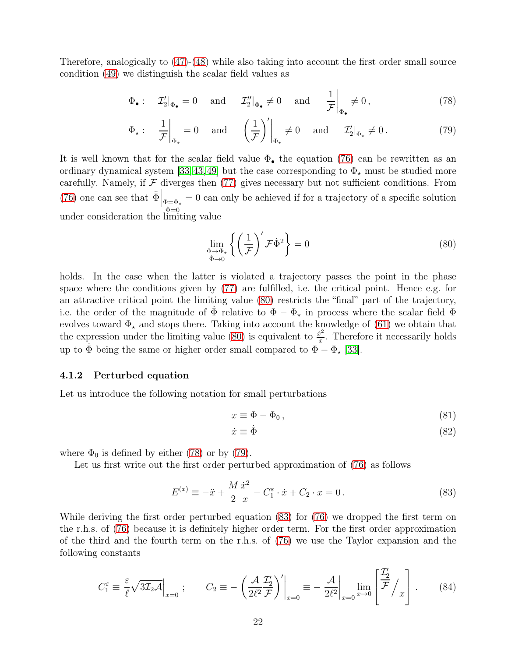Therefore, analogically to [\(47\)](#page-12-3)-[\(48\)](#page-12-2) while also taking into account the first order small source condition [\(49\)](#page-12-0) we distinguish the scalar field values as

$$
\Phi_{\bullet}: \quad \mathcal{I}'_{2}|_{\Phi_{\bullet}} = 0 \quad \text{and} \quad \mathcal{I}''_{2}|_{\Phi_{\bullet}} \neq 0 \quad \text{and} \quad \frac{1}{\mathcal{F}}\bigg|_{\Phi_{\bullet}} \neq 0, \tag{78}
$$

$$
\Phi_{\star}: \quad \frac{1}{\mathcal{F}}\bigg|_{\Phi_{\star}} = 0 \quad \text{and} \quad \left(\frac{1}{\mathcal{F}}\right)' \bigg|_{\Phi_{\star}} \neq 0 \quad \text{and} \quad \mathcal{I}'_{2}\big|_{\Phi_{\star}} \neq 0. \tag{79}
$$

It is well known that for the scalar field value  $\Phi_{\bullet}$  the equation [\(76\)](#page-20-1) can be rewritten as an ordinary dynamical system [\[33,](#page-31-5)[43,](#page-32-7)[49\]](#page-33-1) but the case corresponding to  $\Phi_{\star}$  must be studied more carefully. Namely, if  $\mathcal F$  diverges then [\(77\)](#page-20-2) gives necessary but not sufficient conditions. From [\(76\)](#page-20-1) one can see that  $\ddot{\Phi}\Big|_{\substack{\Phi=\Phi_{\star} \ \hat{\Phi}=0}} = 0$  can only be achieved if for a trajectory of a specific solution under consideration the limiting value

<span id="page-21-2"></span><span id="page-21-1"></span><span id="page-21-0"></span>
$$
\lim_{\substack{\Phi \to \Phi_* \\ \dot{\Phi} \to 0}} \left\{ \left( \frac{1}{\mathcal{F}} \right)' \mathcal{F} \dot{\Phi}^2 \right\} = 0 \tag{80}
$$

holds. In the case when the latter is violated a trajectory passes the point in the phase space where the conditions given by [\(77\)](#page-20-2) are fulfilled, i.e. the critical point. Hence e.g. for an attractive critical point the limiting value [\(80\)](#page-21-0) restricts the "final" part of the trajectory, i.e. the order of the magnitude of  $\Phi$  relative to  $\Phi - \Phi_{\star}$  in process where the scalar field  $\Phi$ evolves toward  $\Phi_{\star}$  and stops there. Taking into account the knowledge of [\(61\)](#page-14-0) we obtain that the expression under the limiting value [\(80\)](#page-21-0) is equivalent to  $\frac{\dot{x}^2}{x}$  $\frac{\dot{x}^2}{x}$ . Therefore it necessarily holds up to  $\dot{\Phi}$  being the same or higher order small compared to  $\Phi - \Phi_{\star}$  [\[33\]](#page-31-5).

#### 4.1.2 Perturbed equation

Let us introduce the following notation for small perturbations

$$
x \equiv \Phi - \Phi_0, \tag{81}
$$

<span id="page-21-6"></span><span id="page-21-5"></span><span id="page-21-3"></span>
$$
\dot{x} \equiv \dot{\Phi} \tag{82}
$$

where  $\Phi_0$  is defined by either [\(78\)](#page-21-1) or by [\(79\)](#page-21-2).

Let us first write out the first order perturbed approximation of [\(76\)](#page-20-1) as follows

$$
E^{(x)} \equiv -\ddot{x} + \frac{M}{2} \frac{\dot{x}^2}{x} - C_1^{\varepsilon} \cdot \dot{x} + C_2 \cdot x = 0.
$$
 (83)

While deriving the first order perturbed equation [\(83\)](#page-21-3) for [\(76\)](#page-20-1) we dropped the first term on the r.h.s. of [\(76\)](#page-20-1) because it is definitely higher order term. For the first order approximation of the third and the fourth term on the r.h.s. of [\(76\)](#page-20-1) we use the Taylor expansion and the following constants

<span id="page-21-4"></span>
$$
C_1^{\varepsilon} \equiv \frac{\varepsilon}{\ell} \sqrt{3\mathcal{I}_2 \mathcal{A}} \Big|_{x=0} ; \qquad C_2 \equiv -\left. \left( \frac{\mathcal{A}}{2\ell^2} \frac{\mathcal{I}_2'}{\mathcal{F}} \right)' \right|_{x=0} \equiv -\left. \frac{\mathcal{A}}{2\ell^2} \right|_{x=0} \lim_{x \to 0} \left[ \frac{\mathcal{I}_2'}{\mathcal{F}} \right] \, . \tag{84}
$$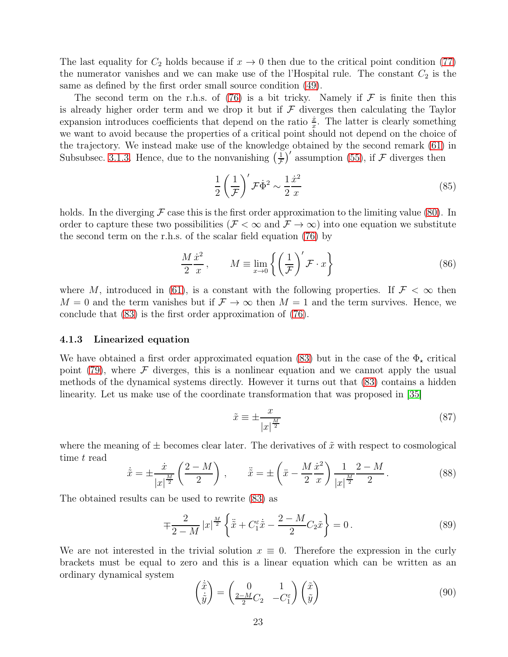The last equality for  $C_2$  holds because if  $x \to 0$  then due to the critical point condition [\(77\)](#page-20-2) the numerator vanishes and we can make use of the l'Hospital rule. The constant  $C_2$  is the same as defined by the first order small source condition [\(49\)](#page-12-0).

The second term on the r.h.s. of [\(76\)](#page-20-1) is a bit tricky. Namely if  $\mathcal F$  is finite then this is already higher order term and we drop it but if  $\mathcal F$  diverges then calculating the Taylor expansion introduces coefficients that depend on the ratio  $\frac{\dot{x}}{x}$ . The latter is clearly something we want to avoid because the properties of a critical point should not depend on the choice of the trajectory. We instead make use of the knowledge obtained by the second remark [\(61\)](#page-14-0) in Subsubsec. [3.1.3.](#page-14-1) Hence, due to the nonvanishing  $\left(\frac{1}{\mathcal{F}}\right)'$  assumption [\(55\)](#page-13-4), if  $\mathcal F$  diverges then

<span id="page-22-3"></span>
$$
\frac{1}{2} \left( \frac{1}{\mathcal{F}} \right)' \mathcal{F} \dot{\Phi}^2 \sim \frac{1}{2} \frac{\dot{x}^2}{x}
$$
\n(85)

holds. In the diverging  $\mathcal F$  case this is the first order approximation to the limiting value [\(80\)](#page-21-0). In order to capture these two possibilities ( $\mathcal{F} < \infty$  and  $\mathcal{F} \to \infty$ ) into one equation we substitute the second term on the r.h.s. of the scalar field equation [\(76\)](#page-20-1) by

$$
\frac{M\,\dot{x}^2}{2\,\,x}, \qquad M \equiv \lim_{x \to 0} \left\{ \left( \frac{1}{\mathcal{F}} \right)' \mathcal{F} \cdot x \right\} \tag{86}
$$

where M, introduced in [\(61\)](#page-14-0), is a constant with the following properties. If  $\mathcal{F} < \infty$  then  $M = 0$  and the term vanishes but if  $\mathcal{F} \to \infty$  then  $M = 1$  and the term survives. Hence, we conclude that [\(83\)](#page-21-3) is the first order approximation of [\(76\)](#page-20-1).

#### 4.1.3 Linearized equation

We have obtained a first order approximated equation [\(83\)](#page-21-3) but in the case of the  $\Phi_{\star}$  critical point [\(79\)](#page-21-2), where  $\mathcal F$  diverges, this is a nonlinear equation and we cannot apply the usual methods of the dynamical systems directly. However it turns out that [\(83\)](#page-21-3) contains a hidden linearity. Let us make use of the coordinate transformation that was proposed in [\[35\]](#page-32-12)

<span id="page-22-2"></span><span id="page-22-1"></span>
$$
\tilde{x} \equiv \pm \frac{x}{|x|^{\frac{M}{2}}} \tag{87}
$$

where the meaning of  $\pm$  becomes clear later. The derivatives of  $\tilde{x}$  with respect to cosmological time t read

$$
\dot{\tilde{x}} = \pm \frac{\dot{x}}{|x|^{\frac{M}{2}}} \left( \frac{2 - M}{2} \right) , \qquad \ddot{\tilde{x}} = \pm \left( \ddot{x} - \frac{M}{2} \frac{\dot{x}^2}{x} \right) \frac{1}{|x|^{\frac{M}{2}}} \frac{2 - M}{2} . \tag{88}
$$

The obtained results can be used to rewrite [\(83\)](#page-21-3) as

$$
\mp \frac{2}{2-M} |x|^{\frac{M}{2}} \left\{ \ddot{\tilde{x}} + C_1^{\varepsilon} \dot{\tilde{x}} - \frac{2-M}{2} C_2 \tilde{x} \right\} = 0. \tag{89}
$$

We are not interested in the trivial solution  $x \equiv 0$ . Therefore the expression in the curly brackets must be equal to zero and this is a linear equation which can be written as an ordinary dynamical system

<span id="page-22-0"></span>
$$
\begin{pmatrix} \dot{\tilde{x}} \\ \dot{\tilde{y}} \end{pmatrix} = \begin{pmatrix} 0 & 1 \\ \frac{2-M}{2}C_2 & -C_1^{\varepsilon} \end{pmatrix} \begin{pmatrix} \tilde{x} \\ \tilde{y} \end{pmatrix}
$$
\n(90)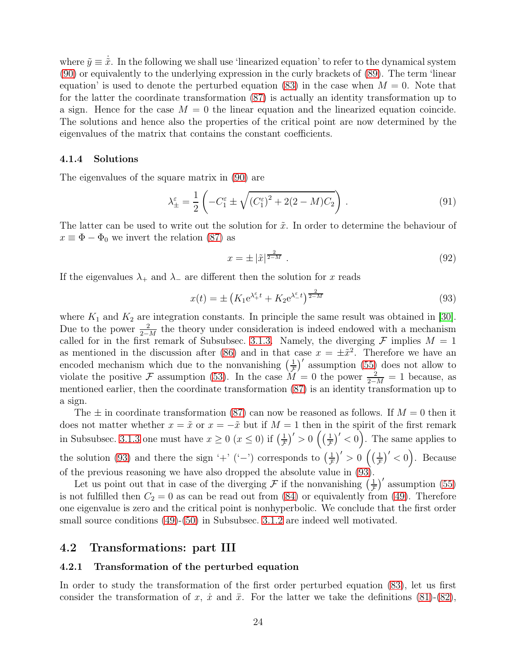where  $\tilde{y} \equiv \dot{\tilde{x}}$ . In the following we shall use 'linearized equation' to refer to the dynamical system [\(90\)](#page-22-0) or equivalently to the underlying expression in the curly brackets of [\(89\)](#page-22-1). The term 'linear equation' is used to denote the perturbed equation [\(83\)](#page-21-3) in the case when  $M = 0$ . Note that for the latter the coordinate transformation [\(87\)](#page-22-2) is actually an identity transformation up to a sign. Hence for the case  $M = 0$  the linear equation and the linearized equation coincide. The solutions and hence also the properties of the critical point are now determined by the eigenvalues of the matrix that contains the constant coefficients.

#### 4.1.4 Solutions

The eigenvalues of the square matrix in [\(90\)](#page-22-0) are

$$
\lambda_{\pm}^{\varepsilon} = \frac{1}{2} \left( -C_1^{\varepsilon} \pm \sqrt{(C_1^{\varepsilon})^2 + 2(2 - M)C_2} \right). \tag{91}
$$

The latter can be used to write out the solution for  $\tilde{x}$ . In order to determine the behaviour of  $x \equiv \Phi - \Phi_0$  we invert the relation [\(87\)](#page-22-2) as

<span id="page-23-1"></span><span id="page-23-0"></span>
$$
x = \pm |\tilde{x}|^{\frac{2}{2-M}} \tag{92}
$$

If the eigenvalues  $\lambda_+$  and  $\lambda_-$  are different then the solution for x reads

$$
x(t) = \pm \left( K_1 e^{\lambda_{+}^{\varepsilon} t} + K_2 e^{\lambda_{-}^{\varepsilon} t} \right)^{\frac{2}{2-M}} \tag{93}
$$

where  $K_1$  and  $K_2$  are integration constants. In principle the same result was obtained in [\[30\]](#page-31-2). Due to the power  $\frac{2}{2-M}$  the theory under consideration is indeed endowed with a mechanism called for in the first remark of Subsubsec. [3.1.3.](#page-14-1) Namely, the diverging  $\mathcal F$  implies  $M = 1$ as mentioned in the discussion after [\(86\)](#page-22-3) and in that case  $x = \pm \tilde{x}^2$ . Therefore we have an encoded mechanism which due to the nonvanishing  $\left(\frac{1}{\mathcal{F}}\right)'$  assumption [\(55\)](#page-13-4) does not allow to violate the positive F assumption [\(53\)](#page-13-2). In the case  $M = 0$  the power  $\frac{2}{2-M} = 1$  because, as mentioned earlier, then the coordinate transformation [\(87\)](#page-22-2) is an identity transformation up to a sign.

The  $\pm$  in coordinate transformation [\(87\)](#page-22-2) can now be reasoned as follows. If  $M = 0$  then it does not matter whether  $x = \tilde{x}$  or  $x = -\tilde{x}$  but if  $M = 1$  then in the spirit of the first remark in Subsubsec. [3.1.3](#page-14-1) one must have  $x \ge 0$   $(x \le 0)$  if  $\left(\frac{1}{\mathcal{F}}\right)' > 0$   $\left(\left(\frac{1}{\mathcal{F}}\right)' < 0\right)$ . The same applies to the solution [\(93\)](#page-23-0) and there the sign '+' ('-') corresponds to  $\left(\frac{1}{\mathcal{F}}\right)' > 0$   $\left(\left(\frac{1}{\mathcal{F}}\right)' < 0\right)$ . Because of the previous reasoning we have also dropped the absolute value in [\(93\)](#page-23-0).

Let us point out that in case of the diverging F if the nonvanishing  $(\frac{1}{\mathcal{F}})'$  assumption [\(55\)](#page-13-4) is not fulfilled then  $C_2 = 0$  as can be read out from [\(84\)](#page-21-4) or equivalently from [\(49\)](#page-12-0). Therefore one eigenvalue is zero and the critical point is nonhyperbolic. We conclude that the first order small source conditions [\(49\)](#page-12-0)-[\(50\)](#page-12-1) in Subsubsec. [3.1.2](#page-12-6) are indeed well motivated.

#### 4.2 Transformations: part III

#### 4.2.1 Transformation of the perturbed equation

In order to study the transformation of the first order perturbed equation [\(83\)](#page-21-3), let us first consider the transformation of x, x and xv. For the latter we take the definitions  $(81)-(82)$  $(81)-(82)$ ,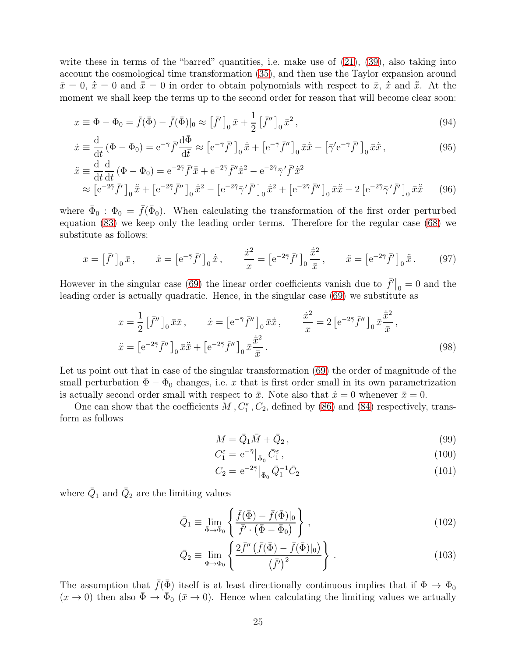write these in terms of the "barred" quantities, i.e. make use of  $(21)$ ,  $(39)$ , also taking into account the cosmological time transformation [\(35\)](#page-8-2), and then use the Taylor expansion around  $\bar{x}=0, \dot{\bar{x}}=0$  and  $\ddot{\bar{x}}=0$  in order to obtain polynomials with respect to  $\bar{x}, \dot{\bar{x}}$  and  $\ddot{\bar{x}}$ . At the moment we shall keep the terms up to the second order for reason that will become clear soon:

$$
x \equiv \Phi - \Phi_0 = \bar{f}(\bar{\Phi}) - \bar{f}(\bar{\Phi})|_0 \approx \left[\bar{f}'\right]_0 \bar{x} + \frac{1}{2} \left[\bar{f}''\right]_0 \bar{x}^2, \tag{94}
$$

$$
\dot{x} \equiv \frac{\mathrm{d}}{\mathrm{d}t} \left( \Phi - \Phi_0 \right) = \mathrm{e}^{-\bar{\gamma}} \bar{f}' \frac{\mathrm{d}\bar{\Phi}}{\mathrm{d}\bar{t}} \approx \left[ \mathrm{e}^{-\bar{\gamma}} \bar{f}' \right]_0 \dot{\bar{x}} + \left[ \mathrm{e}^{-\bar{\gamma}} \bar{f}'' \right]_0 \bar{x} \dot{\bar{x}} - \left[ \bar{\gamma}' \mathrm{e}^{-\bar{\gamma}} \bar{f}' \right]_0 \bar{x} \dot{\bar{x}},\tag{95}
$$

$$
\ddot{x} \equiv \frac{d}{dt} \frac{d}{dt} (\Phi - \Phi_0) = e^{-2\bar{\gamma}} \bar{f}' \ddot{\bar{x}} + e^{-2\bar{\gamma}} \bar{f}'' \dot{\bar{x}}^2 - e^{-2\bar{\gamma}} \bar{\gamma}' \bar{f}' \dot{\bar{x}}^2 \n\approx \left[ e^{-2\bar{\gamma}} \bar{f}' \right]_0 \ddot{\bar{x}} + \left[ e^{-2\bar{\gamma}} \bar{f}'' \right]_0 \dot{\bar{x}}^2 - \left[ e^{-2\bar{\gamma}} \bar{\gamma}' \bar{f}' \right]_0 \dot{\bar{x}}^2 + \left[ e^{-2\bar{\gamma}} \bar{f}'' \right]_0 \bar{x} \ddot{\bar{x}} - 2 \left[ e^{-2\bar{\gamma}} \bar{\gamma}' \bar{f}' \right]_0 \bar{x} \ddot{\bar{x}} \tag{96}
$$

where  $\bar{\Phi}_0$ :  $\Phi_0 = \bar{f}(\bar{\Phi}_0)$ . When calculating the transformation of the first order perturbed equation [\(83\)](#page-21-3) we keep only the leading order terms. Therefore for the regular case [\(68\)](#page-18-2) we substitute as follows:

<span id="page-24-3"></span>
$$
x = \left[\bar{f}'\right]_0 \bar{x}, \qquad \dot{x} = \left[e^{-\bar{\gamma}} \bar{f}'\right]_0 \dot{\bar{x}}, \qquad \frac{\dot{x}^2}{x} = \left[e^{-2\bar{\gamma}} \bar{f}'\right]_0 \frac{\dot{\bar{x}^2}}{\bar{x}}, \qquad \ddot{x} = \left[e^{-2\bar{\gamma}} \bar{f}'\right]_0 \ddot{\bar{x}}.
$$
 (97)

However in the singular case [\(69\)](#page-18-3) the linear order coefficients vanish due to  $\bar{f}'|_0 = 0$  and the leading order is actually quadratic. Hence, in the singular case [\(69\)](#page-18-3) we substitute as

$$
x = \frac{1}{2} \left[ \bar{f}'' \right]_0 \bar{x}\bar{x}, \qquad \dot{x} = \left[ e^{-\bar{\gamma}} \bar{f}'' \right]_0 \bar{x}\dot{\bar{x}}, \qquad \frac{\dot{x}^2}{x} = 2 \left[ e^{-2\bar{\gamma}} \bar{f}'' \right]_0 \bar{x}\frac{\dot{\bar{x}}^2}{\bar{x}},
$$

$$
\ddot{x} = \left[ e^{-2\bar{\gamma}} \bar{f}'' \right]_0 \bar{x}\ddot{\bar{x}} + \left[ e^{-2\bar{\gamma}} \bar{f}'' \right]_0 \bar{x}\frac{\dot{\bar{x}}^2}{\bar{x}}.
$$
(98)

Let us point out that in case of the singular transformation [\(69\)](#page-18-3) the order of magnitude of the small perturbation  $\Phi - \Phi_0$  changes, i.e. x that is first order small in its own parametrization is actually second order small with respect to  $\bar{x}$ . Note also that  $\dot{x} = 0$  whenever  $\bar{x} = 0$ .

One can show that the coefficients  $M$ ,  $C_1^{\varepsilon}$ ,  $C_2$ , defined by [\(86\)](#page-22-3) and [\(84\)](#page-21-4) respectively, transform as follows

<span id="page-24-5"></span><span id="page-24-2"></span>
$$
M = \bar{Q}_1 \bar{M} + \bar{Q}_2, \qquad (99)
$$

$$
C_1^{\varepsilon} = e^{-\bar{\gamma}} \big|_{\bar{\Phi}_0} \bar{C}_1^{\varepsilon},\tag{100}
$$

<span id="page-24-6"></span><span id="page-24-4"></span><span id="page-24-1"></span><span id="page-24-0"></span>
$$
C_2 = e^{-2\bar{\gamma}} \big|_{\bar{\Phi}_0} \bar{Q}_1^{-1} \bar{C}_2 \tag{101}
$$

where  $\bar{Q}_1$  and  $\bar{Q}_2$  are the limiting values

$$
\bar{Q}_1 \equiv \lim_{\bar{\Phi}\to\bar{\Phi}_0} \left\{ \frac{\bar{f}(\bar{\Phi}) - \bar{f}(\bar{\Phi})|_0}{\bar{f}' \cdot (\bar{\Phi} - \bar{\Phi}_0)} \right\},\tag{102}
$$

$$
\bar{Q}_2 \equiv \lim_{\bar{\Phi}\to\bar{\Phi}_0} \left\{ \frac{2\bar{f}''\left(\bar{f}(\bar{\Phi}) - \bar{f}(\bar{\Phi})|_0\right)}{\left(\bar{f}'\right)^2} \right\} \,. \tag{103}
$$

The assumption that  $\bar{f}(\bar{\Phi})$  itself is at least directionally continuous implies that if  $\Phi \to \Phi_0$  $(x \to 0)$  then also  $\bar{\Phi} \to \bar{\Phi}_0$   $(\bar{x} \to 0)$ . Hence when calculating the limiting values we actually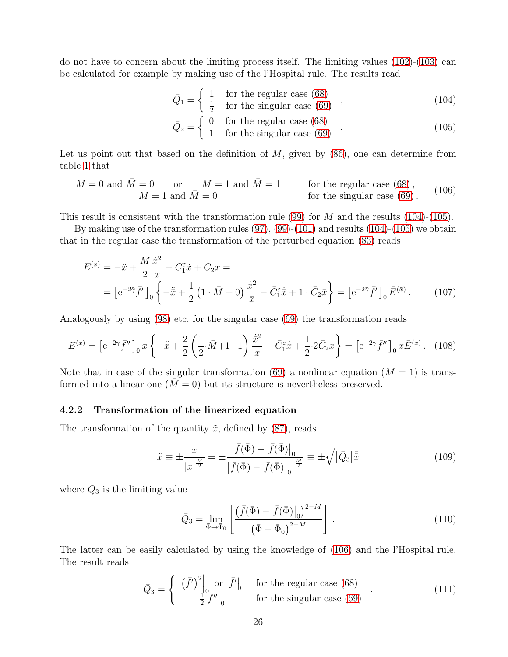do not have to concern about the limiting process itself. The limiting values  $(102)-(103)$  $(102)-(103)$  can be calculated for example by making use of the l'Hospital rule. The results read

<span id="page-25-0"></span>
$$
\bar{Q}_1 = \begin{cases}\n1 & \text{for the regular case (68)} \\
\frac{1}{2} & \text{for the singular case (69)}\n\end{cases}
$$
\n(104)

<span id="page-25-1"></span>
$$
\bar{Q}_2 = \begin{cases}\n0 & \text{for the regular case (68)} \\
1 & \text{for the singular case (69)}\n\end{cases} \tag{105}
$$

Let us point out that based on the definition of  $M$ , given by  $(86)$ , one can determine from table [1](#page-17-1) that

<span id="page-25-2"></span>
$$
M = 0 \text{ and } \overline{M} = 0 \quad \text{or} \quad M = 1 \text{ and } \overline{M} = 1 \quad \text{for the regular case (68),} \quad (106)
$$
  

$$
M = 1 \text{ and } \overline{M} = 0 \quad \text{for the singular case (69).}
$$

This result is consistent with the transformation rule [\(99\)](#page-24-2) for M and the results  $(104)-(105)$  $(104)-(105)$ .

By making use of the transformation rules [\(97\)](#page-24-3), [\(99\)](#page-24-2)-[\(101\)](#page-24-4) and results [\(104\)](#page-25-0)-[\(105\)](#page-25-1) we obtain that in the regular case the transformation of the perturbed equation [\(83\)](#page-21-3) reads

$$
E^{(x)} = -\ddot{x} + \frac{M}{2} \frac{\dot{x}^2}{x} - C_1^{\varepsilon} \dot{x} + C_2 x =
$$
  
= 
$$
[e^{-2\bar{\gamma}} \bar{f}']_0 \left\{ -\ddot{\bar{x}} + \frac{1}{2} \left( 1 \cdot \bar{M} + 0 \right) \frac{\dot{\bar{x}}^2}{\bar{x}} - \bar{C}_1^{\varepsilon} \dot{\bar{x}} + 1 \cdot \bar{C}_2 \bar{x} \right\} = \left[ e^{-2\bar{\gamma}} \bar{f}' \right]_0 \bar{E}^{(\bar{x})}.
$$
 (107)

Analogously by using [\(98\)](#page-24-5) etc. for the singular case [\(69\)](#page-18-3) the transformation reads

$$
E^{(x)} = \left[ e^{-2\bar{\gamma}} \bar{f}'' \right]_0 \bar{x} \left\{ -\ddot{\bar{x}} + \frac{2}{2} \left( \frac{1}{2} \cdot \bar{M} + 1 - 1 \right) \frac{\dot{\bar{x}}^2}{\bar{x}} - \bar{C}_1^{\varepsilon} \dot{\bar{x}} + \frac{1}{2} \cdot 2 \bar{C}_2 \bar{x} \right\} = \left[ e^{-2\bar{\gamma}} \bar{f}'' \right]_0 \bar{x} \bar{E}^{(\bar{x})}. \tag{108}
$$

Note that in case of the singular transformation [\(69\)](#page-18-3) a nonlinear equation  $(M = 1)$  is transformed into a linear one  $(M = 0)$  but its structure is nevertheless preserved.

#### 4.2.2 Transformation of the linearized equation

The transformation of the quantity  $\tilde{x}$ , defined by [\(87\)](#page-22-2), reads

$$
\tilde{x} \equiv \pm \frac{x}{|x|^{\frac{M}{2}}} = \pm \frac{\bar{f}(\bar{\Phi}) - \bar{f}(\bar{\Phi})\big|_{0}}{|\bar{f}(\bar{\Phi}) - \bar{f}(\bar{\Phi})\big|_{0}|^{\frac{M}{2}}} \equiv \pm \sqrt{|\bar{Q}_{3}|}\bar{\tilde{x}} \tag{109}
$$

where  $\bar{Q}_3$  is the limiting value

<span id="page-25-3"></span>
$$
\bar{Q}_3 = \lim_{\bar{\Phi} \to \bar{\Phi}_0} \left[ \frac{\left( \bar{f}(\bar{\Phi}) - \bar{f}(\bar{\Phi}) \right|_0)^{2-M}}{\left( \bar{\Phi} - \bar{\Phi}_0 \right)^{2-M}} \right].
$$
\n(110)

The latter can be easily calculated by using the knowledge of [\(106\)](#page-25-2) and the l'Hospital rule. The result reads

$$
\bar{Q}_3 = \begin{cases}\n(\bar{f}')^2 \Big|_0 \text{ or } \bar{f}' \Big|_0 \quad \text{for the regular case (68)}\\ \n\frac{1}{2} \bar{f}'' \Big|_0 \quad \text{for the singular case (69)}\n\end{cases} (111)
$$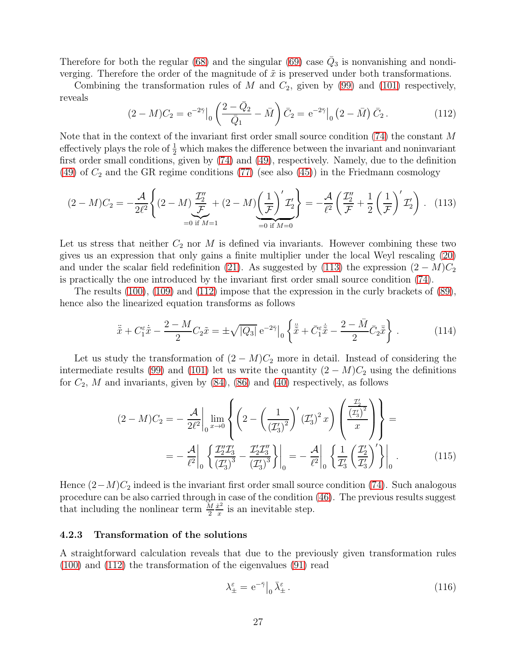Therefore for both the regular [\(68\)](#page-18-2) and the singular [\(69\)](#page-18-3) case  $\overline{Q}_3$  is nonvanishing and nondiverging. Therefore the order of the magnitude of  $\tilde{x}$  is preserved under both transformations.

<span id="page-26-1"></span>Combining the transformation rules of M and  $C_2$ , given by [\(99\)](#page-24-2) and [\(101\)](#page-24-4) respectively, reveals

<span id="page-26-0"></span>
$$
(2-M)C_2 = e^{-2\bar{\gamma}}\Big|_0 \left(\frac{2-\bar{Q}_2}{\bar{Q}_1} - \bar{M}\right)\bar{C}_2 = e^{-2\bar{\gamma}}\Big|_0 \left(2-\bar{M}\right)\bar{C}_2.
$$
 (112)

Note that in the context of the invariant first order small source condition [\(74\)](#page-19-0) the constant M effectively plays the role of  $\frac{1}{2}$  which makes the difference between the invariant and noninvariant first order small conditions, given by [\(74\)](#page-19-0) and [\(49\)](#page-12-0), respectively. Namely, due to the definition [\(49\)](#page-12-0) of  $C_2$  and the GR regime conditions [\(77\)](#page-20-2) (see also [\(45\)](#page-10-2)) in the Friedmann cosmology

$$
(2-M)C_2 = -\frac{\mathcal{A}}{2\ell^2} \left\{ (2-M) \frac{\mathcal{I}_2''}{\mathcal{F}} + (2-M) \left( \frac{1}{\mathcal{F}} \right)' \mathcal{I}_2' \right\} = -\frac{\mathcal{A}}{\ell^2} \left( \frac{\mathcal{I}_2''}{\mathcal{F}} + \frac{1}{2} \left( \frac{1}{\mathcal{F}} \right)' \mathcal{I}_2' \right). \tag{113}
$$

Let us stress that neither  $C_2$  nor M is defined via invariants. However combining these two gives us an expression that only gains a finite multiplier under the local Weyl rescaling [\(20\)](#page-5-0) and under the scalar field redefinition [\(21\)](#page-5-1). As suggested by [\(113\)](#page-26-0) the expression  $(2 - M)C_2$ is practically the one introduced by the invariant first order small source condition [\(74\)](#page-19-0).

The results [\(100\)](#page-24-6), [\(109\)](#page-25-3) and [\(112\)](#page-26-1) impose that the expression in the curly brackets of [\(89\)](#page-22-1), hence also the linearized equation transforms as follows

$$
\ddot{\tilde{x}} + C_1^{\varepsilon} \dot{\tilde{x}} - \frac{2 - M}{2} C_2 \tilde{x} = \pm \sqrt{|Q_3|} e^{-2\bar{\gamma}} \Big|_0 \left\{ \dot{\tilde{\bar{x}}} + \bar{C}_1^{\varepsilon} \dot{\tilde{\bar{x}}} - \frac{2 - \bar{M}}{2} \bar{C}_2 \bar{\tilde{x}} \right\} \,. \tag{114}
$$

Let us study the transformation of  $(2 - M)C<sub>2</sub>$  more in detail. Instead of considering the intermediate results [\(99\)](#page-24-2) and [\(101\)](#page-24-4) let us write the quantity  $(2 - M)C<sub>2</sub>$  using the definitions for  $C_2$ , M and invariants, given by  $(84)$ ,  $(86)$  and  $(40)$  respectively, as follows

$$
(2-M)C_2 = -\frac{\mathcal{A}}{2\ell^2} \Big|_{0} \lim_{x \to 0} \left\{ \left( 2 - \left( \frac{1}{(\mathcal{I}_3')^2} \right)' (\mathcal{I}_3')^2 x \right) \left( \frac{\frac{\mathcal{I}_2'}{(\mathcal{I}_3')^2}}{x} \right) \right\} = -\frac{\mathcal{A}}{\ell^2} \Big|_{0} \left\{ \frac{\mathcal{I}_2'' \mathcal{I}_3'}{(\mathcal{I}_3')^3} - \frac{\mathcal{I}_2' \mathcal{I}_3''}{(\mathcal{I}_3')^3} \right\} \Big|_{0} = -\frac{\mathcal{A}}{\ell^2} \Big|_{0} \left\{ \frac{1}{\mathcal{I}_3'} \left( \frac{\mathcal{I}_2'}{\mathcal{I}_3'} \right)' \right\} \Big|_{0} . \tag{115}
$$

Hence  $(2-M)C_2$  indeed is the invariant first order small source condition [\(74\)](#page-19-0). Such analogous procedure can be also carried through in case of the condition [\(46\)](#page-10-3). The previous results suggest that including the nonlinear term  $\frac{M}{2}$  $\dot{x}^2$  $\frac{x^2}{x}$  is an inevitable step.

#### 4.2.3 Transformation of the solutions

A straightforward calculation reveals that due to the previously given transformation rules [\(100\)](#page-24-6) and [\(112\)](#page-26-1) the transformation of the eigenvalues [\(91\)](#page-23-1) read

<span id="page-26-2"></span>
$$
\lambda_{\pm}^{\varepsilon} = e^{-\bar{\gamma}} \big|_{0} \bar{\lambda}_{\pm}^{\varepsilon} \,. \tag{116}
$$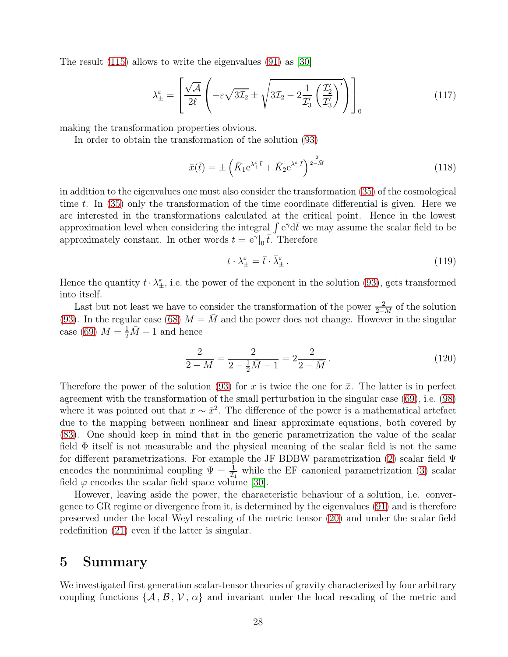The result [\(115\)](#page-26-2) allows to write the eigenvalues [\(91\)](#page-23-1) as [\[30\]](#page-31-2)

$$
\lambda_{\pm}^{\varepsilon} = \left[ \frac{\sqrt{\mathcal{A}}}{2\ell} \left( -\varepsilon \sqrt{3\mathcal{I}_{2}} \pm \sqrt{3\mathcal{I}_{2} - 2\frac{1}{\mathcal{I}_{3}'} \left( \frac{\mathcal{I}_{2}'}{\mathcal{I}_{3}'} \right)'} \right) \right]_{0} \tag{117}
$$

making the transformation properties obvious.

In order to obtain the transformation of the solution [\(93\)](#page-23-0)

$$
\bar{x}(\bar{t}) = \pm \left( \bar{K}_1 e^{\bar{\lambda} \bar{\xi} \cdot \bar{t}} + \bar{K}_2 e^{\bar{\lambda} \bar{\xi} \cdot \bar{t}} \right)^{\frac{2}{2-M}} \tag{118}
$$

in addition to the eigenvalues one must also consider the transformation [\(35\)](#page-8-2) of the cosmological time t. In [\(35\)](#page-8-2) only the transformation of the time coordinate differential is given. Here we are interested in the transformations calculated at the critical point. Hence in the lowest approximation level when considering the integral  $\int e^{\bar{\gamma}}d\bar{t}$  we may assume the scalar field to be approximately constant. In other words  $t = e^{\bar{\gamma}} \vert_0 \bar{t}$ . Therefore

$$
t \cdot \lambda_{\pm}^{\varepsilon} = \bar{t} \cdot \bar{\lambda}_{\pm}^{\varepsilon} \,. \tag{119}
$$

Hence the quantity  $t \cdot \lambda_{\pm}^{\varepsilon}$ , i.e. the power of the exponent in the solution [\(93\)](#page-23-0), gets transformed into itself.

Last but not least we have to consider the transformation of the power  $\frac{2}{2-M}$  of the solution [\(93\)](#page-23-0). In the regular case [\(68\)](#page-18-2)  $M = M$  and the power does not change. However in the singular case [\(69\)](#page-18-3)  $M = \frac{1}{2}\overline{M} + 1$  and hence

$$
\frac{2}{2-M} = \frac{2}{2 - \frac{1}{2}\bar{M} - 1} = 2\frac{2}{2 - \bar{M}}.
$$
\n(120)

Therefore the power of the solution [\(93\)](#page-23-0) for x is twice the one for  $\bar{x}$ . The latter is in perfect agreement with the transformation of the small perturbation in the singular case [\(69\)](#page-18-3), i.e. [\(98\)](#page-24-5) where it was pointed out that  $x \sim \bar{x}^2$ . The difference of the power is a mathematical artefact due to the mapping between nonlinear and linear approximate equations, both covered by [\(83\)](#page-21-3). One should keep in mind that in the generic parametrization the value of the scalar field  $\Phi$  itself is not measurable and the physical meaning of the scalar field is not the same for different parametrizations. For example the JF BDBW parametrization [\(2\)](#page-6-6) scalar field Ψ encodes the nonminimal coupling  $\Psi = \frac{1}{\tau_1}$  while the EF canonical parametrization [\(3\)](#page-6-1) scalar field  $\varphi$  encodes the scalar field space volume [\[30\]](#page-31-2).

However, leaving aside the power, the characteristic behaviour of a solution, i.e. convergence to GR regime or divergence from it, is determined by the eigenvalues [\(91\)](#page-23-1) and is therefore preserved under the local Weyl rescaling of the metric tensor [\(20\)](#page-5-0) and under the scalar field redefinition [\(21\)](#page-5-1) even if the latter is singular.

# 5 Summary

We investigated first generation scalar-tensor theories of gravity characterized by four arbitrary coupling functions  $\{\mathcal{A}, \mathcal{B}, \mathcal{V}, \alpha\}$  and invariant under the local rescaling of the metric and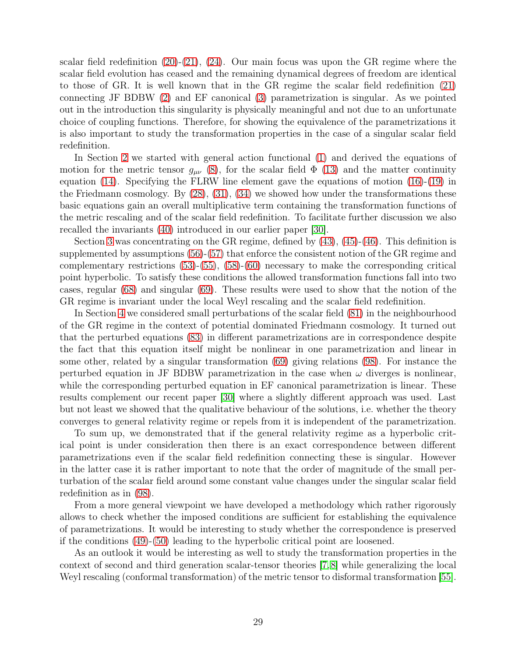scalar field redefinition  $(20)-(21)$  $(20)-(21)$ ,  $(24)$ . Our main focus was upon the GR regime where the scalar field evolution has ceased and the remaining dynamical degrees of freedom are identical to those of GR. It is well known that in the GR regime the scalar field redefinition [\(21\)](#page-5-1) connecting JF BDBW [\(2\)](#page-6-6) and EF canonical [\(3\)](#page-6-1) parametrization is singular. As we pointed out in the introduction this singularity is physically meaningful and not due to an unfortunate choice of coupling functions. Therefore, for showing the equivalence of the parametrizations it is also important to study the transformation properties in the case of a singular scalar field redefinition.

In Section [2](#page-2-0) we started with general action functional [\(1\)](#page-6-0) and derived the equations of motion for the metric tensor  $g_{\mu\nu}$  [\(8\)](#page-4-1), for the scalar field  $\Phi$  [\(13\)](#page-4-3) and the matter continuity equation [\(14\)](#page-4-4). Specifying the FLRW line element gave the equations of motion [\(16\)](#page-5-2)-[\(19\)](#page-5-3) in the Friedmann cosmology. By [\(28\)](#page-7-0), [\(31\)](#page-7-2), [\(34\)](#page-8-1) we showed how under the transformations these basic equations gain an overall multiplicative term containing the transformation functions of the metric rescaling and of the scalar field redefinition. To facilitate further discussion we also recalled the invariants [\(40\)](#page-9-1) introduced in our earlier paper [\[30\]](#page-31-2).

Section [3](#page-10-0) was concentrating on the GR regime, defined by [\(43\)](#page-10-5), [\(45\)](#page-10-2)-[\(46\)](#page-10-3). This definition is supplemented by assumptions [\(56\)](#page-13-0)-[\(57\)](#page-13-1) that enforce the consistent notion of the GR regime and complementary restrictions [\(53\)](#page-13-2)-[\(55\)](#page-13-4), [\(58\)](#page-13-5)-[\(60\)](#page-13-6) necessary to make the corresponding critical point hyperbolic. To satisfy these conditions the allowed transformation functions fall into two cases, regular [\(68\)](#page-18-2) and singular [\(69\)](#page-18-3). These results were used to show that the notion of the GR regime is invariant under the local Weyl rescaling and the scalar field redefinition.

In Section [4](#page-20-0) we considered small perturbations of the scalar field [\(81\)](#page-21-5) in the neighbourhood of the GR regime in the context of potential dominated Friedmann cosmology. It turned out that the perturbed equations [\(83\)](#page-21-3) in different parametrizations are in correspondence despite the fact that this equation itself might be nonlinear in one parametrization and linear in some other, related by a singular transformation [\(69\)](#page-18-3) giving relations [\(98\)](#page-24-5). For instance the perturbed equation in JF BDBW parametrization in the case when  $\omega$  diverges is nonlinear, while the corresponding perturbed equation in EF canonical parametrization is linear. These results complement our recent paper [\[30\]](#page-31-2) where a slightly different approach was used. Last but not least we showed that the qualitative behaviour of the solutions, i.e. whether the theory converges to general relativity regime or repels from it is independent of the parametrization.

To sum up, we demonstrated that if the general relativity regime as a hyperbolic critical point is under consideration then there is an exact correspondence between different parametrizations even if the scalar field redefinition connecting these is singular. However in the latter case it is rather important to note that the order of magnitude of the small perturbation of the scalar field around some constant value changes under the singular scalar field redefinition as in [\(98\)](#page-24-5).

From a more general viewpoint we have developed a methodology which rather rigorously allows to check whether the imposed conditions are sufficient for establishing the equivalence of parametrizations. It would be interesting to study whether the correspondence is preserved if the conditions [\(49\)](#page-12-0)-[\(50\)](#page-12-1) leading to the hyperbolic critical point are loosened.

As an outlook it would be interesting as well to study the transformation properties in the context of second and third generation scalar-tensor theories [\[7,](#page-29-6)[8\]](#page-29-7) while generalizing the local Weyl rescaling (conformal transformation) of the metric tensor to disformal transformation [\[55\]](#page-33-7).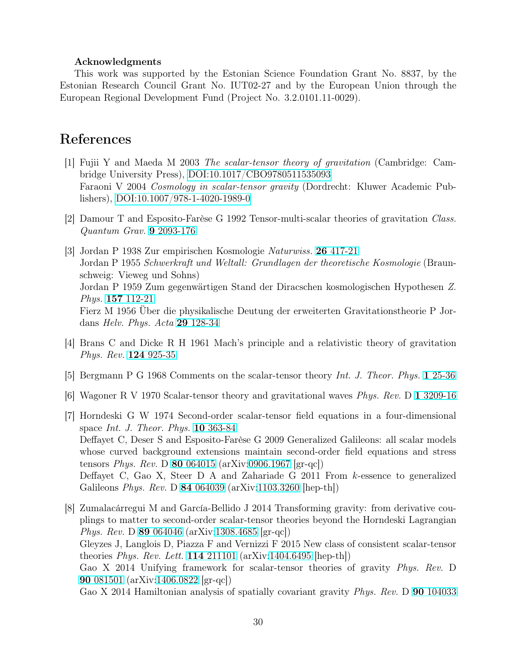#### Acknowledgments

This work was supported by the Estonian Science Foundation Grant No. 8837, by the Estonian Research Council Grant No. IUT02-27 and by the European Union through the European Regional Development Fund (Project No. 3.2.0101.11-0029).

# <span id="page-29-0"></span>References

- [1] Fujii Y and Maeda M 2003 *The scalar-tensor theory of gravitation* (Cambridge: Cambridge University Press), [DOI:10.1017/CBO9780511535093](http://dx.doi.org/10.1017/CBO9780511535093) Faraoni V 2004 *Cosmology in scalar-tensor gravity* (Dordrecht: Kluwer Academic Publishers), [DOI:10.1007/978-1-4020-1989-0](http://dx.doi.org/10.1007/978-1-4020-1989-0)
- <span id="page-29-2"></span><span id="page-29-1"></span>[2] Damour T and Esposito-Farèse G 1992 Tensor-multi-scalar theories of gravitation *Class. Quantum Grav.* 9 [2093-176](http://dx.doi.org/10.1088/0264-9381/9/9/015)
- [3] Jordan P 1938 Zur empirischen Kosmologie *Naturwiss.* 26 [417-21](http://dx.doi.org/10.1007/BF01679076) Jordan P 1955 *Schwerkraft und Weltall: Grundlagen der theoretische Kosmologie* (Braunschweig: Vieweg und Sohns) Jordan P 1959 Zum gegenwärtigen Stand der Diracschen kosmologischen Hypothesen *Z. Phys.* 157 [112-21](http://dx.doi.org/10.1007/BF01375155) Fierz M 1956 Über die physikalische Deutung der erweiterten Gravitationstheorie P Jordans *Helv. Phys. Acta* 29 [128-34](http://dx.doi.org/10.5169/seals-112699)
- <span id="page-29-4"></span><span id="page-29-3"></span>[4] Brans C and Dicke R H 1961 Mach's principle and a relativistic theory of gravitation *Phys. Rev.* 124 [925-35](http://dx.doi.org/10.1103/PhysRev.124.925)
- <span id="page-29-5"></span>[5] Bergmann P G 1968 Comments on the scalar-tensor theory *Int. J. Theor. Phys.* 1 [25-36](http://dx.doi.org/10.1007/BF00668828)
- <span id="page-29-6"></span>[6] Wagoner R V 1970 Scalar-tensor theory and gravitational waves *Phys. Rev.* D 1 [3209-16](http://dx.doi.org/10.1103/PhysRevD.1.3209)
- [7] Horndeski G W 1974 Second-order scalar-tensor field equations in a four-dimensional space *Int. J. Theor. Phys.* 10 [363-84](http://dx.doi.org/10.1007/BF01807638) Deffayet C, Deser S and Esposito-Farèse G 2009 Generalized Galileons: all scalar models whose curved background extensions maintain second-order field equations and stress tensors *Phys. Rev.* D 80 [064015](http://dx.doi.org/10.1103/PhysRevD.80.064015) (arXiv[:0906.1967](http://arxiv.org/abs/0906.1967) [gr-qc]) Deffayet C, Gao X, Steer D A and Zahariade G 2011 From k-essence to generalized Galileons *Phys. Rev.* D 84 [064039](http://dx.doi.org/10.1103/PhysRevD.84.064039) (arXiv[:1103.3260](http://arxiv.org/abs/1103.3260) [hep-th])
- <span id="page-29-7"></span>[8] Zumalacárregui M and García-Bellido J 2014 Transforming gravity: from derivative couplings to matter to second-order scalar-tensor theories beyond the Horndeski Lagrangian *Phys. Rev.* D 89 [064046](http://dx.doi.org/10.1103/PhysRevD.89.064046) (arXiv[:1308.4685](http://arxiv.org/abs/1308.4685) [gr-qc]) Gleyzes J, Langlois D, Piazza F and Vernizzi F 2015 New class of consistent scalar-tensor theories *Phys. Rev. Lett.* 114 [211101](http://dx.doi.org/10.1103/PhysRevLett.114.211101) (arXiv[:1404.6495](http://arxiv.org/abs/1404.6495) [hep-th]) Gao X 2014 Unifying framework for scalar-tensor theories of gravity *Phys. Rev.* D 90 [081501](http://dx.doi.org/10.1103/PhysRevD.90.081501) (arXiv[:1406.0822](http://arxiv.org/abs/1406.0822) [gr-qc]) Gao X 2014 Hamiltonian analysis of spatially covariant gravity *Phys. Rev.* D 90 [104033](http://dx.doi.org/10.1103/PhysRevD.90.104033)

30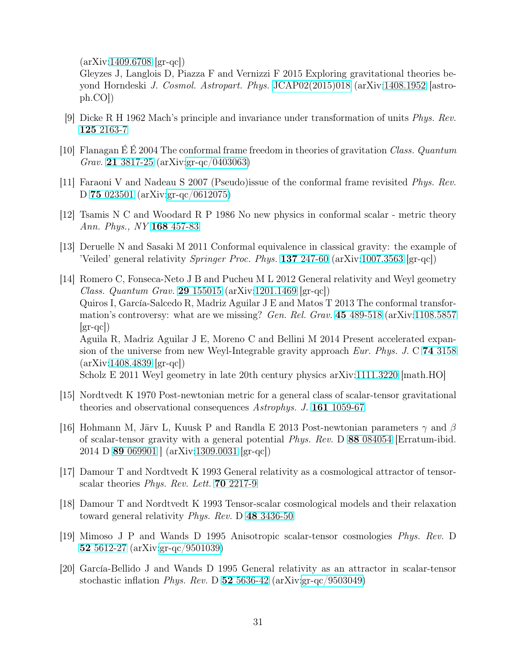(arXiv[:1409.6708](http://arxiv.org/abs/1409.6708) [gr-qc])

Gleyzes J, Langlois D, Piazza F and Vernizzi F 2015 Exploring gravitational theories beyond Horndeski *J. Cosmol. Astropart. Phys.* [JCAP02\(2015\)018](http://dx.doi.org/10.1088/1475-7516/2015/02/018) (arXiv[:1408.1952](http://arxiv.org/abs/1408.1952) [astroph.CO])

- <span id="page-30-1"></span><span id="page-30-0"></span>[9] Dicke R H 1962 Mach's principle and invariance under transformation of units *Phys. Rev.* 125 [2163-7](http://dx.doi.org/10.1103/PhysRev.125.2163)
- <span id="page-30-2"></span>[10] Flanagan É É 2004 The conformal frame freedom in theories of gravitation *Class. Quantum Grav.* 21 [3817-25](http://dx.doi.org/10.1088/0264-9381/21/15/N02) (arXiv[:gr-qc/0403063\)](http://arxiv.org/abs/gr-qc/0403063)
- <span id="page-30-3"></span>[11] Faraoni V and Nadeau S 2007 (Pseudo)issue of the conformal frame revisited *Phys. Rev.* D 75 [023501](http://dx.doi.org/10.1103/PhysRevD.75.023501) (arXiv[:gr-qc/0612075\)](http://arxiv.org/abs/gr-qc/0612075v1)
- <span id="page-30-4"></span>[12] Tsamis N C and Woodard R P 1986 No new physics in conformal scalar - metric theory *Ann. Phys., NY* 168 [457-83](http://dx.doi.org/10.1016/0003-4916(86)90040-0)
- <span id="page-30-5"></span>[13] Deruelle N and Sasaki M 2011 Conformal equivalence in classical gravity: the example of 'Veiled' general relativity *Springer Proc. Phys.* 137 [247-60](http://dx.doi.org/10.1007/978-3-642-19760-4_23) (arXiv[:1007.3563](http://arxiv.org/abs/1007.3563) [gr-qc])
- [14] Romero C, Fonseca-Neto J B and Pucheu M L 2012 General relativity and Weyl geometry *Class. Quantum Grav.* 29 [155015](http://dx.doi.org/10.1088/0264-9381/29/15/155015) (arXiv[:1201.1469](http://arxiv.org/abs/1201.1469) [gr-qc]) Quiros I, García-Salcedo R, Madriz Aguilar J E and Matos T 2013 The conformal transformation's controversy: what are we missing? *Gen. Rel. Grav.* 45 [489-518](http://dx.doi.org/10.1007/s10714-012-1484-7) (arXiv[:1108.5857](http://arxiv.org/abs/1108.5857)  $|gr-qc|$ Aguila R, Madriz Aguilar J E, Moreno C and Bellini M 2014 Present accelerated expansion of the universe from new Weyl-Integrable gravity approach *Eur. Phys. J.* C 74 [3158](http://dx.doi.org/10.1140/epjc/s10052-014-3158-y) (arXiv[:1408.4839](http://arxiv.org/abs/1408.4839) [gr-qc]) Scholz E 2011 Weyl geometry in late 20th century physics arXiv[:1111.3220](http://arxiv.org/abs/1111.3220) [math.HO]
- <span id="page-30-6"></span>[15] Nordtvedt K 1970 Post-newtonian metric for a general class of scalar-tensor gravitational theories and observational consequences *Astrophys. J.* 161 [1059-67](http://dx.doi.org/10.1086/150607)
- <span id="page-30-7"></span>[16] Hohmann M, Järv L, Kuusk P and Randla E 2013 Post-newtonian parameters  $\gamma$  and  $\beta$ of scalar-tensor gravity with a general potential *Phys. Rev.* D 88 [084054](http://dx.doi.org/10.1103/PhysRevD.88.084054) [Erratum-ibid. 2014 D 89 [069901](http://dx.doi.org/10.1103/PhysRevD.89.069901) ] (arXiv[:1309.0031](http://arxiv.org/abs/1309.0031) [gr-qc])
- <span id="page-30-8"></span>[17] Damour T and Nordtvedt K 1993 General relativity as a cosmological attractor of tensorscalar theories *Phys. Rev. Lett.* 70 [2217-9](http://dx.doi.org/10.1103/PhysRevLett.70.2217)
- <span id="page-30-9"></span>[18] Damour T and Nordtvedt K 1993 Tensor-scalar cosmological models and their relaxation toward general relativity *Phys. Rev.* D 48 [3436-50](http://dx.doi.org/10.1103/PhysRevD.48.3436)
- <span id="page-30-10"></span>[19] Mimoso J P and Wands D 1995 Anisotropic scalar-tensor cosmologies *Phys. Rev.* D 52 [5612-27](http://dx.doi.org/10.1103/PhysRevD.52.5612) (arXiv[:gr-qc/9501039\)](http://arxiv.org/abs/gr-qc/9501039)
- [20] García-Bellido J and Wands D 1995 General relativity as an attractor in scalar-tensor stochastic inflation *Phys. Rev.* D 52 [5636-42](http://dx.doi.org/10.1103/PhysRevD.52.5636) (arXiv[:gr-qc/9503049\)](http://arxiv.org/abs/gr-qc/9503049v1)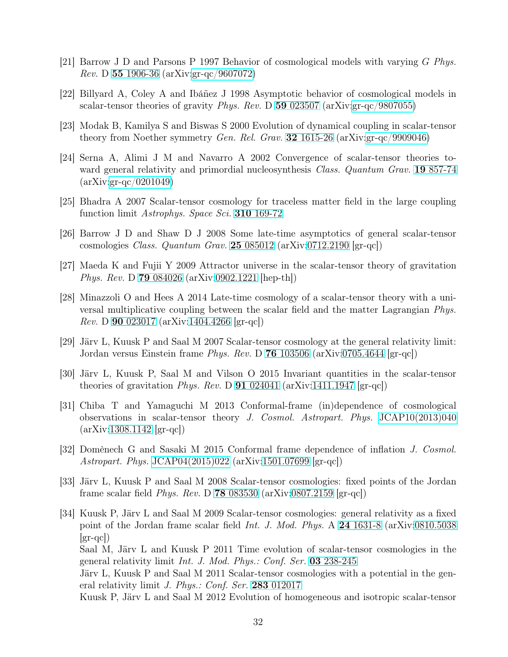- <span id="page-31-6"></span>[21] Barrow J D and Parsons P 1997 Behavior of cosmological models with varying G *Phys. Rev.* D 55 [1906-36](http://dx.doi.org/10.1103/PhysRevD.55.1906) (arXiv[:gr-qc/9607072\)](http://arxiv.org/abs/gr-qc/9607072v1)
- <span id="page-31-8"></span>[22] Billyard A, Coley A and Ibáñez J 1998 Asymptotic behavior of cosmological models in scalar-tensor theories of gravity *Phys. Rev.* D 59 [023507](http://dx.doi.org/10.1103/PhysRevD.59.023507) (arXiv[:gr-qc/9807055\)](http://arxiv.org/abs/gr-qc/9807055)
- <span id="page-31-7"></span>[23] Modak B, Kamilya S and Biswas S 2000 Evolution of dynamical coupling in scalar-tensor theory from Noether symmetry *Gen. Rel. Grav.* 32 [1615-26](http://dx.doi.org/10.1023/A%3A1001990303511) (arXiv[:gr-qc/9909046\)](http://arxiv.org/abs/gr-qc/9909046)
- [24] Serna A, Alimi J M and Navarro A 2002 Convergence of scalar-tensor theories toward general relativity and primordial nucleosynthesis *Class. Quantum Grav.* 19 [857-74](http://dx.doi.org/10.1088/0264-9381/19/5/302) (arXiv[:gr-qc/0201049\)](http://arxiv.org/abs/gr-qc/0201049)
- [25] Bhadra A 2007 Scalar-tensor cosmology for traceless matter field in the large coupling function limit *Astrophys. Space Sci.* 310 [169-72](http://dx.doi.org/10.1007/s10509-007-9497-5)
- [26] Barrow J D and Shaw D J 2008 Some late-time asymptotics of general scalar-tensor cosmologies *Class. Quantum Grav.* 25 [085012](http://dx.doi.org/10.1088/0264-9381/25/8/085012) (arXiv[:0712.2190](http://arxiv.org/abs/0712.2190v1) [gr-qc])
- <span id="page-31-0"></span>[27] Maeda K and Fujii Y 2009 Attractor universe in the scalar-tensor theory of gravitation *Phys. Rev.* D 79 [084026](http://dx.doi.org/10.1103/PhysRevD.79.084026) (arXiv[:0902.1221](http://arxiv.org/abs/0902.1221) [hep-th])
- [28] Minazzoli O and Hees A 2014 Late-time cosmology of a scalar-tensor theory with a universal multiplicative coupling between the scalar field and the matter Lagrangian *Phys. Rev.* D 90 [023017](http://dx.doi.org/10.1103/PhysRevD.90.023017) (arXiv[:1404.4266](http://arxiv.org/abs/1404.4266v2) [gr-qc])
- <span id="page-31-1"></span>[29] Järv L, Kuusk P and Saal M 2007 Scalar-tensor cosmology at the general relativity limit: Jordan versus Einstein frame *Phys. Rev.* D 76 [103506](http://dx.doi.org/10.1103/PhysRevD.76.103506) (arXiv[:0705.4644](http://arxiv.org/abs/0705.4644) [gr-qc])
- <span id="page-31-2"></span>[30] Järv L, Kuusk P, Saal M and Vilson O 2015 Invariant quantities in the scalar-tensor theories of gravitation *Phys. Rev.* D 91 [024041](http://dx.doi.org/10.1103/PhysRevD.91.024041) (arXiv[:1411.1947](http://arxiv.org/abs/1411.1947v2) [gr-qc])
- <span id="page-31-3"></span>[31] Chiba T and Yamaguchi M 2013 Conformal-frame (in)dependence of cosmological observations in scalar-tensor theory *J. Cosmol. Astropart. Phys.* [JCAP10\(2013\)040](http://dx.doi.org/10.1088/1475-7516/2013/10/040)  $(\text{arXiv:1308.1142 [gr-qc]})$  $(\text{arXiv:1308.1142 [gr-qc]})$  $(\text{arXiv:1308.1142 [gr-qc]})$
- <span id="page-31-5"></span><span id="page-31-4"></span>[32] Domènech G and Sasaki M 2015 Conformal frame dependence of inflation *J. Cosmol. Astropart. Phys.* [JCAP04\(2015\)022](http://dx.doi.org/10.1088/1475-7516/2015/04/022) (arXiv[:1501.07699](http://arxiv.org/abs/1501.07699) [gr-qc])
- [33] Järv L, Kuusk P and Saal M 2008 Scalar-tensor cosmologies: fixed points of the Jordan frame scalar field *Phys. Rev.* D 78 [083530](http://dx.doi.org/10.1103/PhysRevD.78.083530) (arXiv[:0807.2159](http://arxiv.org/abs/0807.2159) [gr-qc])
- [34] Kuusk P, Järv L and Saal M 2009 Scalar-tensor cosmologies: general relativity as a fixed point of the Jordan frame scalar field *Int. J. Mod. Phys.* A 24 [1631-8](http://dx.doi.org/10.1142/S0217751X09045133) (arXiv[:0810.5038](http://arxiv.org/abs/0810.5038)  $\left[\text{gr-qc}\right]$ Saal M, Järv L and Kuusk P 2011 Time evolution of scalar-tensor cosmologies in the general relativity limit *Int. J. Mod. Phys.: Conf. Ser.* 03 [238-245](http://dx.doi.org/10.1142/S2010194511001322) Järv L, Kuusk P and Saal M 2011 Scalar-tensor cosmologies with a potential in the general relativity limit *J. Phys.: Conf. Ser.* 283 [012017](http://dx.doi.org/10.1088/1742-6596/283/1/012017)

Kuusk P, Järv L and Saal M 2012 Evolution of homogeneous and isotropic scalar-tensor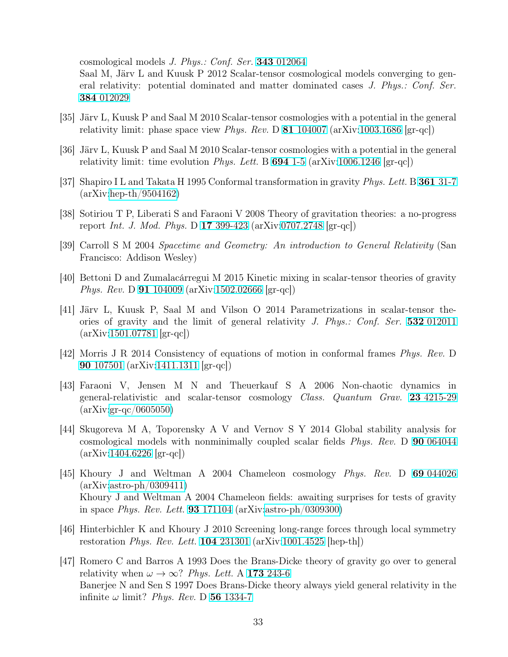cosmological models *J. Phys.: Conf. Ser.* 343 [012064](http://dx.doi.org/10.1088/1742-6596/343/1/012064)

Saal M, Järv L and Kuusk P 2012 Scalar-tensor cosmological models converging to general relativity: potential dominated and matter dominated cases *J. Phys.: Conf. Ser.* 384 [012029](http://dx.doi.org/10.1088/1742-6596/384/1/012029)

- <span id="page-32-12"></span><span id="page-32-0"></span>[35] Järv L, Kuusk P and Saal M 2010 Scalar-tensor cosmologies with a potential in the general relativity limit: phase space view *Phys. Rev.* D 81 [104007](http://dx.doi.org/10.1103/PhysRevD.81.104007) (arXiv[:1003.1686](http://arxiv.org/abs/1003.1686) [gr-qc])
- <span id="page-32-1"></span>[36] Järv L, Kuusk P and Saal M 2010 Scalar-tensor cosmologies with a potential in the general relativity limit: time evolution *Phys. Lett.* B [694](http://dx.doi.org/10.1016/j.physletb.2010.09.029) 1-5 (arXiv[:1006.1246](http://arxiv.org/abs/1006.1246) [gr-qc])
- <span id="page-32-2"></span>[37] Shapiro I L and Takata H 1995 Conformal transformation in gravity *Phys. Lett.* B 361 [31-7](http://dx.doi.org/10.1016/0370-2693(95)01123-8) (arXiv[:hep-th/9504162\)](http://arxiv.org/abs/hep-th/9504162)
- <span id="page-32-3"></span>[38] Sotiriou T P, Liberati S and Faraoni V 2008 Theory of gravitation theories: a no-progress report *Int. J. Mod. Phys.* D 17 [399-423](http://dx.doi.org/10.1142/S0218271808012097) (arXiv[:0707.2748](http://arxiv.org/abs/0707.2748) [gr-qc])
- [39] Carroll S M 2004 *Spacetime and Geometry: An introduction to General Relativity* (San Francisco: Addison Wesley)
- <span id="page-32-5"></span><span id="page-32-4"></span>[40] Bettoni D and Zumalacárregui M 2015 Kinetic mixing in scalar-tensor theories of gravity *Phys. Rev.* D 91 [104009](http://dx.doi.org/10.1103/PhysRevD.91.104009) (arXiv[:1502.02666](http://arxiv.org/abs/1502.02666v2) [gr-qc])
- [41] Järv L, Kuusk P, Saal M and Vilson O 2014 Parametrizations in scalar-tensor theories of gravity and the limit of general relativity *J. Phys.: Conf. Ser.* 532 [012011](http://dx.doi.org/10.1088/1742-6596/532/1/012011) (arXiv[:1501.07781](http://arxiv.org/abs/1501.07781) [gr-qc])
- <span id="page-32-7"></span><span id="page-32-6"></span>[42] Morris J R 2014 Consistency of equations of motion in conformal frames *Phys. Rev.* D 90 [107501](http://dx.doi.org/10.1103/PhysRevD.90.107501) (arXiv[:1411.1311](http://arxiv.org/abs/1411.1311) [gr-qc])
- [43] Faraoni V, Jensen M N and Theuerkauf S A 2006 Non-chaotic dynamics in general-relativistic and scalar-tensor cosmology *Class. Quantum Grav.* 23 [4215-29](http://dx.doi.org/10.1088/0264-9381/23/12/016) (arXiv[:gr-qc/0605050\)](http://arxiv.org/abs/gr-qc/0605050v1)
- <span id="page-32-8"></span>[44] Skugoreva M A, Toporensky A V and Vernov S Y 2014 Global stability analysis for cosmological models with nonminimally coupled scalar fields *Phys. Rev.* D 90 [064044](http://dx.doi.org/10.1103/PhysRevD.90.064044) (arXiv[:1404.6226](http://arxiv.org/abs/1404.6226) [gr-qc])
- <span id="page-32-9"></span>[45] Khoury J and Weltman A 2004 Chameleon cosmology *Phys. Rev.* D 69 [044026](http://dx.doi.org/10.1103/PhysRevD.69.044026) (arXiv[:astro-ph/0309411\)](http://arxiv.org/abs/astro-ph/0309411) Khoury J and Weltman A 2004 Chameleon fields: awaiting surprises for tests of gravity in space *Phys. Rev. Lett.* 93 [171104](http://dx.doi.org/10.1103/PhysRevLett.93.171104) (arXiv[:astro-ph/0309300\)](http://arxiv.org/abs/astro-ph/0309300)
- <span id="page-32-10"></span>[46] Hinterbichler K and Khoury J 2010 Screening long-range forces through local symmetry restoration *Phys. Rev. Lett.* 104 [231301](http://dx.doi.org/10.1103/PhysRevLett.104.231301) (arXiv[:1001.4525](http://arxiv.org/abs/1001.4525) [hep-th])
- <span id="page-32-11"></span>[47] Romero C and Barros A 1993 Does the Brans-Dicke theory of gravity go over to general relativity when  $\omega \to \infty$ ? *Phys. Lett.* A 173 [243-6](http://dx.doi.org/10.1016/0375-9601(93)90271-Z) Banerjee N and Sen S 1997 Does Brans-Dicke theory always yield general relativity in the infinite  $\omega$  limit? *Phys. Rev.* D 56 [1334-7](http://dx.doi.org/10.1103/PhysRevD.56.1334)